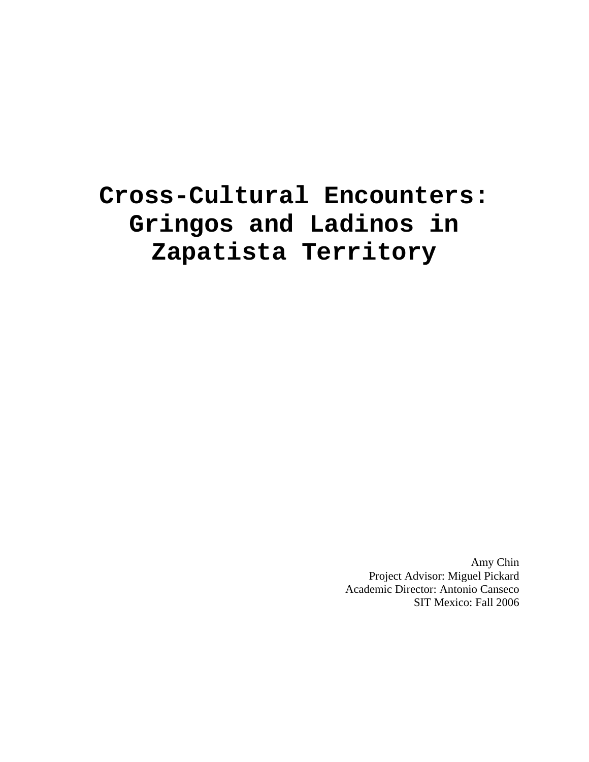# **Cross-Cultural Encounters: Gringos and Ladinos in Zapatista Territory**

Amy Chin Project Advisor: Miguel Pickard Academic Director: Antonio Canseco SIT Mexico: Fall 2006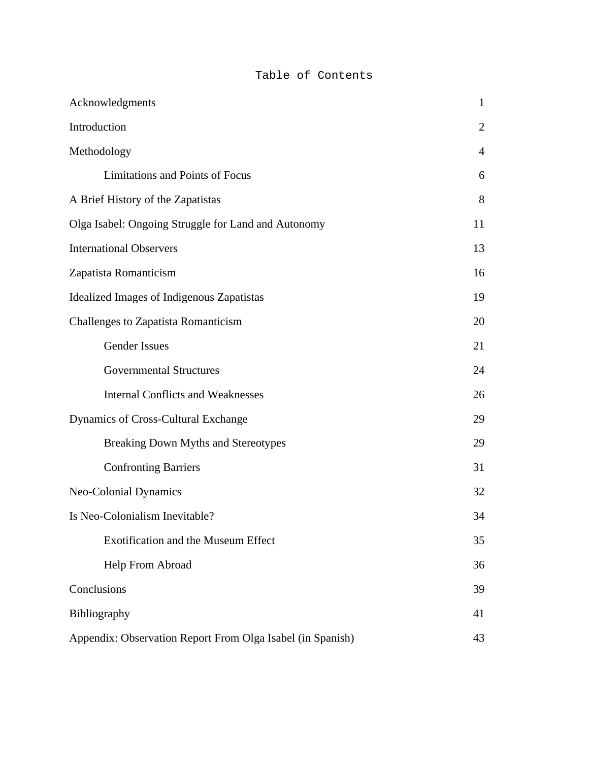# Table of Contents

| Acknowledgments                                            | $\mathbf{1}$   |
|------------------------------------------------------------|----------------|
| Introduction                                               | $\overline{2}$ |
| Methodology                                                | $\overline{4}$ |
| Limitations and Points of Focus                            | 6              |
| A Brief History of the Zapatistas                          | 8              |
| Olga Isabel: Ongoing Struggle for Land and Autonomy        | 11             |
| <b>International Observers</b>                             | 13             |
| Zapatista Romanticism                                      | 16             |
| Idealized Images of Indigenous Zapatistas                  | 19             |
| Challenges to Zapatista Romanticism                        | 20             |
| <b>Gender Issues</b>                                       | 21             |
| <b>Governmental Structures</b>                             | 24             |
| <b>Internal Conflicts and Weaknesses</b>                   | 26             |
| Dynamics of Cross-Cultural Exchange                        | 29             |
| <b>Breaking Down Myths and Stereotypes</b>                 | 29             |
| <b>Confronting Barriers</b>                                | 31             |
| Neo-Colonial Dynamics                                      | 32             |
| Is Neo-Colonialism Inevitable?                             | 34             |
| <b>Exotification and the Museum Effect</b>                 | 35             |
| Help From Abroad                                           | 36             |
| Conclusions                                                | 39             |
| Bibliography                                               | 41             |
| Appendix: Observation Report From Olga Isabel (in Spanish) | 43             |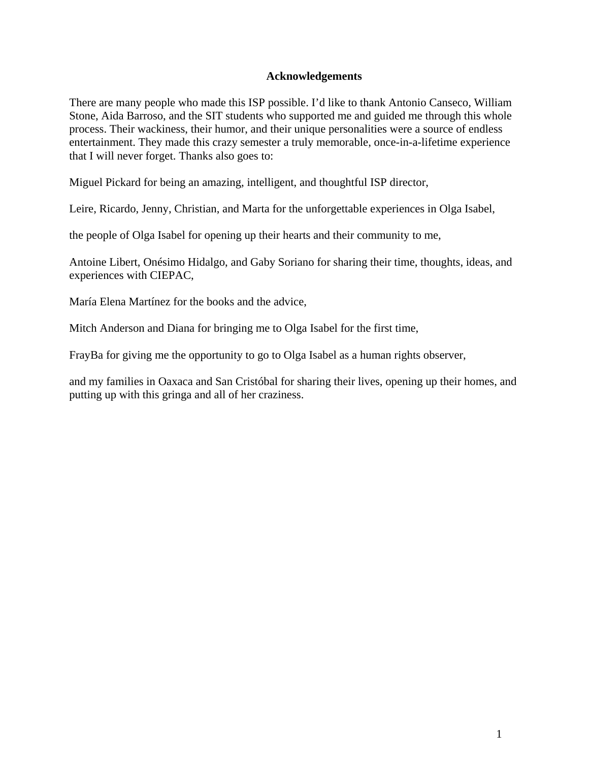# **Acknowledgements**

There are many people who made this ISP possible. I'd like to thank Antonio Canseco, William Stone, Aida Barroso, and the SIT students who supported me and guided me through this whole process. Their wackiness, their humor, and their unique personalities were a source of endless entertainment. They made this crazy semester a truly memorable, once-in-a-lifetime experience that I will never forget. Thanks also goes to:

Miguel Pickard for being an amazing, intelligent, and thoughtful ISP director,

Leire, Ricardo, Jenny, Christian, and Marta for the unforgettable experiences in Olga Isabel,

the people of Olga Isabel for opening up their hearts and their community to me,

Antoine Libert, Onésimo Hidalgo, and Gaby Soriano for sharing their time, thoughts, ideas, and experiences with CIEPAC,

María Elena Martínez for the books and the advice,

Mitch Anderson and Diana for bringing me to Olga Isabel for the first time,

FrayBa for giving me the opportunity to go to Olga Isabel as a human rights observer,

and my families in Oaxaca and San Cristóbal for sharing their lives, opening up their homes, and putting up with this gringa and all of her craziness.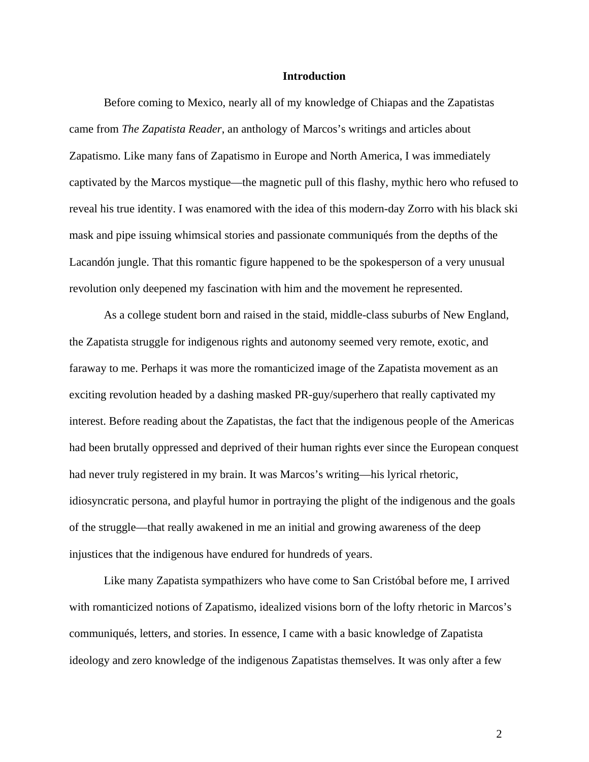## **Introduction**

 Before coming to Mexico, nearly all of my knowledge of Chiapas and the Zapatistas came from *The Zapatista Reader*, an anthology of Marcos's writings and articles about Zapatismo. Like many fans of Zapatismo in Europe and North America, I was immediately captivated by the Marcos mystique—the magnetic pull of this flashy, mythic hero who refused to reveal his true identity. I was enamored with the idea of this modern-day Zorro with his black ski mask and pipe issuing whimsical stories and passionate communiqués from the depths of the Lacandón jungle. That this romantic figure happened to be the spokesperson of a very unusual revolution only deepened my fascination with him and the movement he represented.

 As a college student born and raised in the staid, middle-class suburbs of New England, the Zapatista struggle for indigenous rights and autonomy seemed very remote, exotic, and faraway to me. Perhaps it was more the romanticized image of the Zapatista movement as an exciting revolution headed by a dashing masked PR-guy/superhero that really captivated my interest. Before reading about the Zapatistas, the fact that the indigenous people of the Americas had been brutally oppressed and deprived of their human rights ever since the European conquest had never truly registered in my brain. It was Marcos's writing—his lyrical rhetoric, idiosyncratic persona, and playful humor in portraying the plight of the indigenous and the goals of the struggle—that really awakened in me an initial and growing awareness of the deep injustices that the indigenous have endured for hundreds of years.

 Like many Zapatista sympathizers who have come to San Cristóbal before me, I arrived with romanticized notions of Zapatismo, idealized visions born of the lofty rhetoric in Marcos's communiqués, letters, and stories. In essence, I came with a basic knowledge of Zapatista ideology and zero knowledge of the indigenous Zapatistas themselves. It was only after a few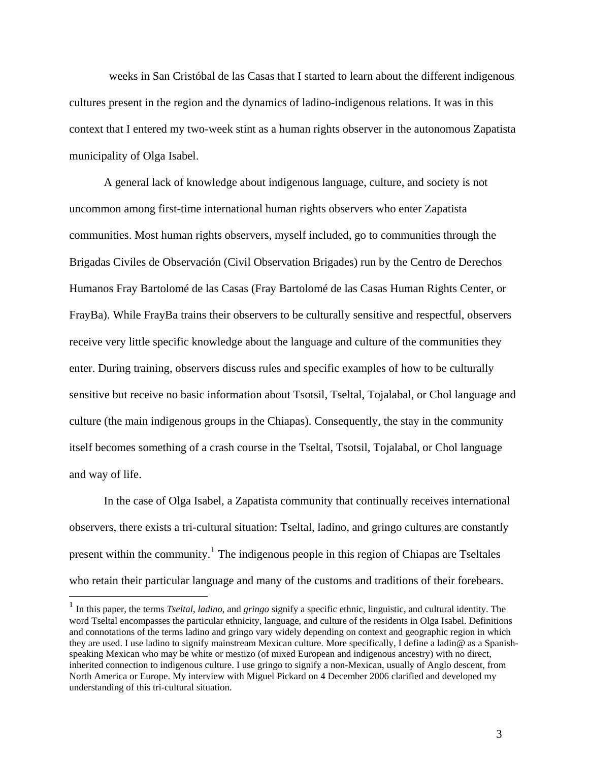weeks in San Cristóbal de las Casas that I started to learn about the different indigenous cultures present in the region and the dynamics of ladino-indigenous relations. It was in this context that I entered my two-week stint as a human rights observer in the autonomous Zapatista municipality of Olga Isabel.

 A general lack of knowledge about indigenous language, culture, and society is not uncommon among first-time international human rights observers who enter Zapatista communities. Most human rights observers, myself included, go to communities through the Brigadas Civiles de Observación (Civil Observation Brigades) run by the Centro de Derechos Humanos Fray Bartolomé de las Casas (Fray Bartolomé de las Casas Human Rights Center, or FrayBa). While FrayBa trains their observers to be culturally sensitive and respectful, observers receive very little specific knowledge about the language and culture of the communities they enter. During training, observers discuss rules and specific examples of how to be culturally sensitive but receive no basic information about Tsotsil, Tseltal, Tojalabal, or Chol language and culture (the main indigenous groups in the Chiapas). Consequently, the stay in the community itself becomes something of a crash course in the Tseltal, Tsotsil, Tojalabal, or Chol language and way of life.

 In the case of Olga Isabel, a Zapatista community that continually receives international observers, there exists a tri-cultural situation: Tseltal, ladino, and gringo cultures are constantly present within the community.<sup>[1](#page-4-0)</sup> The indigenous people in this region of Chiapas are Tseltales who retain their particular language and many of the customs and traditions of their forebears.

<span id="page-4-0"></span><sup>1</sup> In this paper, the terms *Tseltal*, *ladino*, and *gringo* signify a specific ethnic, linguistic, and cultural identity. The word Tseltal encompasses the particular ethnicity, language, and culture of the residents in Olga Isabel. Definitions and connotations of the terms ladino and gringo vary widely depending on context and geographic region in which they are used. I use ladino to signify mainstream Mexican culture. More specifically, I define a ladin@ as a Spanishspeaking Mexican who may be white or mestizo (of mixed European and indigenous ancestry) with no direct, inherited connection to indigenous culture. I use gringo to signify a non-Mexican, usually of Anglo descent, from North America or Europe. My interview with Miguel Pickard on 4 December 2006 clarified and developed my understanding of this tri-cultural situation.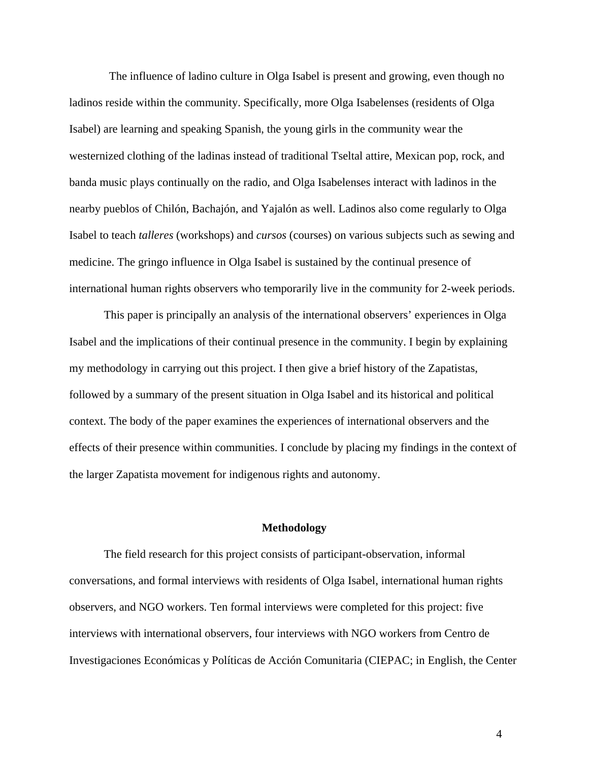The influence of ladino culture in Olga Isabel is present and growing, even though no ladinos reside within the community. Specifically, more Olga Isabelenses (residents of Olga Isabel) are learning and speaking Spanish, the young girls in the community wear the westernized clothing of the ladinas instead of traditional Tseltal attire, Mexican pop, rock, and banda music plays continually on the radio, and Olga Isabelenses interact with ladinos in the nearby pueblos of Chilón, Bachajón, and Yajalón as well. Ladinos also come regularly to Olga Isabel to teach *talleres* (workshops) and *cursos* (courses) on various subjects such as sewing and medicine. The gringo influence in Olga Isabel is sustained by the continual presence of international human rights observers who temporarily live in the community for 2-week periods.

 This paper is principally an analysis of the international observers' experiences in Olga Isabel and the implications of their continual presence in the community. I begin by explaining my methodology in carrying out this project. I then give a brief history of the Zapatistas, followed by a summary of the present situation in Olga Isabel and its historical and political context. The body of the paper examines the experiences of international observers and the effects of their presence within communities. I conclude by placing my findings in the context of the larger Zapatista movement for indigenous rights and autonomy.

## **Methodology**

The field research for this project consists of participant-observation, informal conversations, and formal interviews with residents of Olga Isabel, international human rights observers, and NGO workers. Ten formal interviews were completed for this project: five interviews with international observers, four interviews with NGO workers from Centro de Investigaciones Económicas y Políticas de Acción Comunitaria (CIEPAC; in English, the Center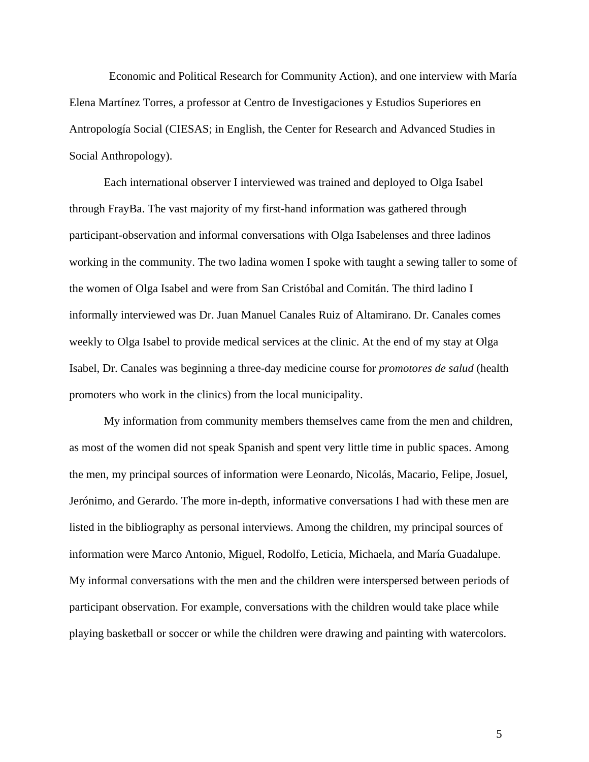Economic and Political Research for Community Action), and one interview with María Elena Martínez Torres, a professor at Centro de Investigaciones y Estudios Superiores en Antropología Social (CIESAS; in English, the Center for Research and Advanced Studies in Social Anthropology).

 Each international observer I interviewed was trained and deployed to Olga Isabel through FrayBa. The vast majority of my first-hand information was gathered through participant-observation and informal conversations with Olga Isabelenses and three ladinos working in the community. The two ladina women I spoke with taught a sewing taller to some of the women of Olga Isabel and were from San Cristóbal and Comitán. The third ladino I informally interviewed was Dr. Juan Manuel Canales Ruiz of Altamirano. Dr. Canales comes weekly to Olga Isabel to provide medical services at the clinic. At the end of my stay at Olga Isabel, Dr. Canales was beginning a three-day medicine course for *promotores de salud* (health promoters who work in the clinics) from the local municipality.

 My information from community members themselves came from the men and children, as most of the women did not speak Spanish and spent very little time in public spaces. Among the men, my principal sources of information were Leonardo, Nicolás, Macario, Felipe, Josuel, Jerónimo, and Gerardo. The more in-depth, informative conversations I had with these men are listed in the bibliography as personal interviews. Among the children, my principal sources of information were Marco Antonio, Miguel, Rodolfo, Leticia, Michaela, and María Guadalupe. My informal conversations with the men and the children were interspersed between periods of participant observation. For example, conversations with the children would take place while playing basketball or soccer or while the children were drawing and painting with watercolors.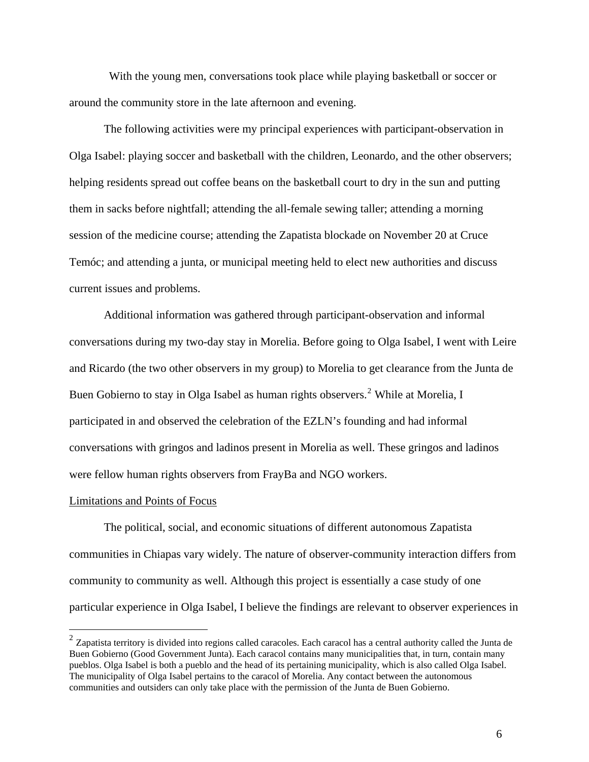With the young men, conversations took place while playing basketball or soccer or around the community store in the late afternoon and evening.

 The following activities were my principal experiences with participant-observation in Olga Isabel: playing soccer and basketball with the children, Leonardo, and the other observers; helping residents spread out coffee beans on the basketball court to dry in the sun and putting them in sacks before nightfall; attending the all-female sewing taller; attending a morning session of the medicine course; attending the Zapatista blockade on November 20 at Cruce Temóc; and attending a junta, or municipal meeting held to elect new authorities and discuss current issues and problems.

 Additional information was gathered through participant-observation and informal conversations during my two-day stay in Morelia. Before going to Olga Isabel, I went with Leire and Ricardo (the two other observers in my group) to Morelia to get clearance from the Junta de Buen Gobierno to stay in Olga Isabel as human rights observers.<sup>[2](#page-7-0)</sup> While at Morelia, I participated in and observed the celebration of the EZLN's founding and had informal conversations with gringos and ladinos present in Morelia as well. These gringos and ladinos were fellow human rights observers from FrayBa and NGO workers.

#### Limitations and Points of Focus

 $\overline{a}$ 

 The political, social, and economic situations of different autonomous Zapatista communities in Chiapas vary widely. The nature of observer-community interaction differs from community to community as well. Although this project is essentially a case study of one particular experience in Olga Isabel, I believe the findings are relevant to observer experiences in

<span id="page-7-0"></span> $2$  Zapatista territory is divided into regions called caracoles. Each caracol has a central authority called the Junta de Buen Gobierno (Good Government Junta). Each caracol contains many municipalities that, in turn, contain many pueblos. Olga Isabel is both a pueblo and the head of its pertaining municipality, which is also called Olga Isabel. The municipality of Olga Isabel pertains to the caracol of Morelia. Any contact between the autonomous communities and outsiders can only take place with the permission of the Junta de Buen Gobierno.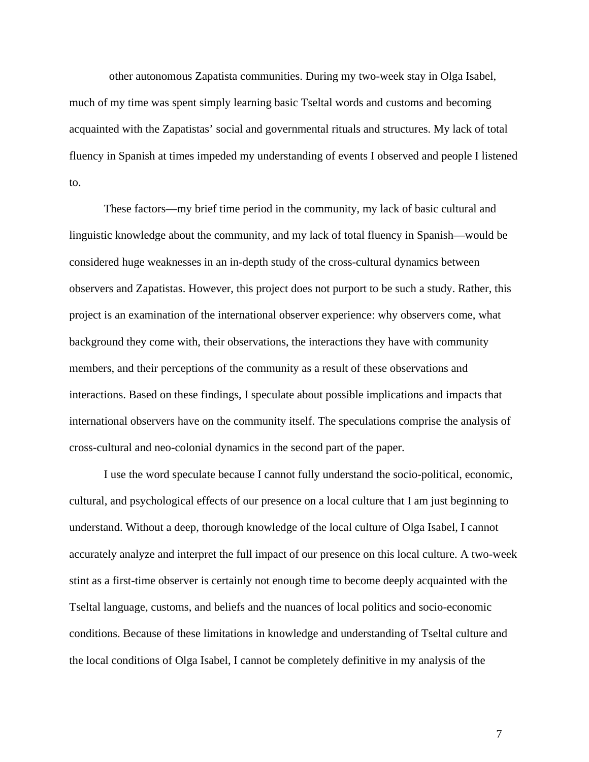other autonomous Zapatista communities. During my two-week stay in Olga Isabel, much of my time was spent simply learning basic Tseltal words and customs and becoming acquainted with the Zapatistas' social and governmental rituals and structures. My lack of total fluency in Spanish at times impeded my understanding of events I observed and people I listened to.

 These factors—my brief time period in the community, my lack of basic cultural and linguistic knowledge about the community, and my lack of total fluency in Spanish—would be considered huge weaknesses in an in-depth study of the cross-cultural dynamics between observers and Zapatistas. However, this project does not purport to be such a study. Rather, this project is an examination of the international observer experience: why observers come, what background they come with, their observations, the interactions they have with community members, and their perceptions of the community as a result of these observations and interactions. Based on these findings, I speculate about possible implications and impacts that international observers have on the community itself. The speculations comprise the analysis of cross-cultural and neo-colonial dynamics in the second part of the paper.

 I use the word speculate because I cannot fully understand the socio-political, economic, cultural, and psychological effects of our presence on a local culture that I am just beginning to understand. Without a deep, thorough knowledge of the local culture of Olga Isabel, I cannot accurately analyze and interpret the full impact of our presence on this local culture. A two-week stint as a first-time observer is certainly not enough time to become deeply acquainted with the Tseltal language, customs, and beliefs and the nuances of local politics and socio-economic conditions. Because of these limitations in knowledge and understanding of Tseltal culture and the local conditions of Olga Isabel, I cannot be completely definitive in my analysis of the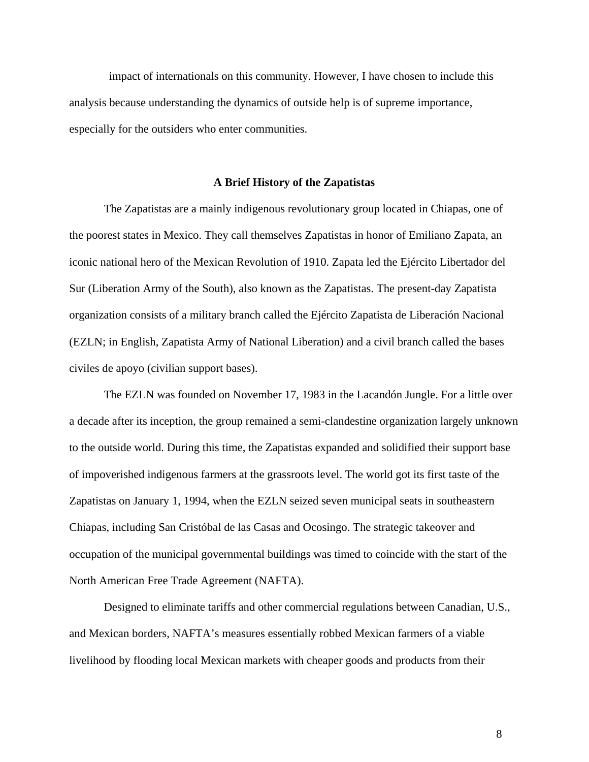impact of internationals on this community. However, I have chosen to include this analysis because understanding the dynamics of outside help is of supreme importance, especially for the outsiders who enter communities.

#### **A Brief History of the Zapatistas**

 The Zapatistas are a mainly indigenous revolutionary group located in Chiapas, one of the poorest states in Mexico. They call themselves Zapatistas in honor of Emiliano Zapata, an iconic national hero of the Mexican Revolution of 1910. Zapata led the Ejército Libertador del Sur (Liberation Army of the South), also known as the Zapatistas. The present-day Zapatista organization consists of a military branch called the Ejército Zapatista de Liberación Nacional (EZLN; in English, Zapatista Army of National Liberation) and a civil branch called the bases civiles de apoyo (civilian support bases).

 The EZLN was founded on November 17, 1983 in the Lacandón Jungle. For a little over a decade after its inception, the group remained a semi-clandestine organization largely unknown to the outside world. During this time, the Zapatistas expanded and solidified their support base of impoverished indigenous farmers at the grassroots level. The world got its first taste of the Zapatistas on January 1, 1994, when the EZLN seized seven municipal seats in southeastern Chiapas, including San Cristóbal de las Casas and Ocosingo. The strategic takeover and occupation of the municipal governmental buildings was timed to coincide with the start of the North American Free Trade Agreement (NAFTA).

 Designed to eliminate tariffs and other commercial regulations between Canadian, U.S., and Mexican borders, NAFTA's measures essentially robbed Mexican farmers of a viable livelihood by flooding local Mexican markets with cheaper goods and products from their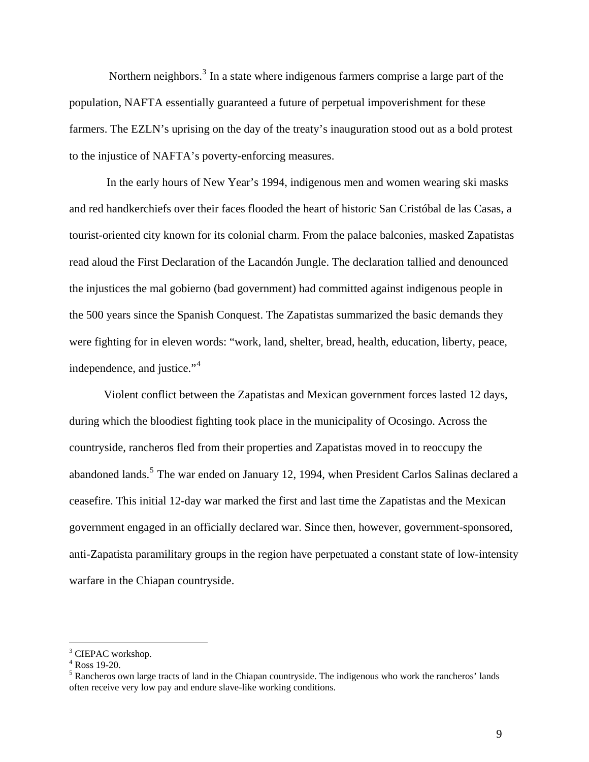Northern neighbors.<sup>[3](#page-10-0)</sup> In a state where indigenous farmers comprise a large part of the population, NAFTA essentially guaranteed a future of perpetual impoverishment for these farmers. The EZLN's uprising on the day of the treaty's inauguration stood out as a bold protest to the injustice of NAFTA's poverty-enforcing measures.

 In the early hours of New Year's 1994, indigenous men and women wearing ski masks and red handkerchiefs over their faces flooded the heart of historic San Cristóbal de las Casas, a tourist-oriented city known for its colonial charm. From the palace balconies, masked Zapatistas read aloud the First Declaration of the Lacandón Jungle. The declaration tallied and denounced the injustices the mal gobierno (bad government) had committed against indigenous people in the 500 years since the Spanish Conquest. The Zapatistas summarized the basic demands they were fighting for in eleven words: "work, land, shelter, bread, health, education, liberty, peace, independence, and justice."<sup>[4](#page-10-1)</sup>

 Violent conflict between the Zapatistas and Mexican government forces lasted 12 days, during which the bloodiest fighting took place in the municipality of Ocosingo. Across the countryside, rancheros fled from their properties and Zapatistas moved in to reoccupy the abandoned lands.<sup>[5](#page-10-2)</sup> The war ended on January 12, 1994, when President Carlos Salinas declared a ceasefire. This initial 12-day war marked the first and last time the Zapatistas and the Mexican government engaged in an officially declared war. Since then, however, government-sponsored, anti-Zapatista paramilitary groups in the region have perpetuated a constant state of low-intensity warfare in the Chiapan countryside.

<span id="page-10-0"></span><sup>&</sup>lt;sup>3</sup> CIEPAC workshop.

<span id="page-10-1"></span><sup>4</sup> Ross 19-20.

<span id="page-10-2"></span><sup>&</sup>lt;sup>5</sup> Rancheros own large tracts of land in the Chiapan countryside. The indigenous who work the rancheros' lands often receive very low pay and endure slave-like working conditions.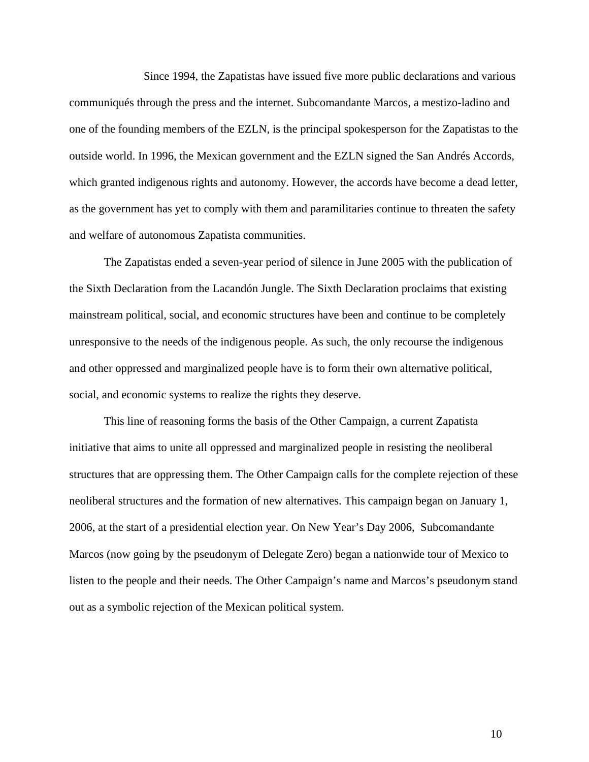Since 1994, the Zapatistas have issued five more public declarations and various communiqués through the press and the internet. Subcomandante Marcos, a mestizo-ladino and one of the founding members of the EZLN, is the principal spokesperson for the Zapatistas to the outside world. In 1996, the Mexican government and the EZLN signed the San Andrés Accords, which granted indigenous rights and autonomy. However, the accords have become a dead letter, as the government has yet to comply with them and paramilitaries continue to threaten the safety and welfare of autonomous Zapatista communities.

 The Zapatistas ended a seven-year period of silence in June 2005 with the publication of the Sixth Declaration from the Lacandón Jungle. The Sixth Declaration proclaims that existing mainstream political, social, and economic structures have been and continue to be completely unresponsive to the needs of the indigenous people. As such, the only recourse the indigenous and other oppressed and marginalized people have is to form their own alternative political, social, and economic systems to realize the rights they deserve.

 This line of reasoning forms the basis of the Other Campaign, a current Zapatista initiative that aims to unite all oppressed and marginalized people in resisting the neoliberal structures that are oppressing them. The Other Campaign calls for the complete rejection of these neoliberal structures and the formation of new alternatives. This campaign began on January 1, 2006, at the start of a presidential election year. On New Year's Day 2006, Subcomandante Marcos (now going by the pseudonym of Delegate Zero) began a nationwide tour of Mexico to listen to the people and their needs. The Other Campaign's name and Marcos's pseudonym stand out as a symbolic rejection of the Mexican political system.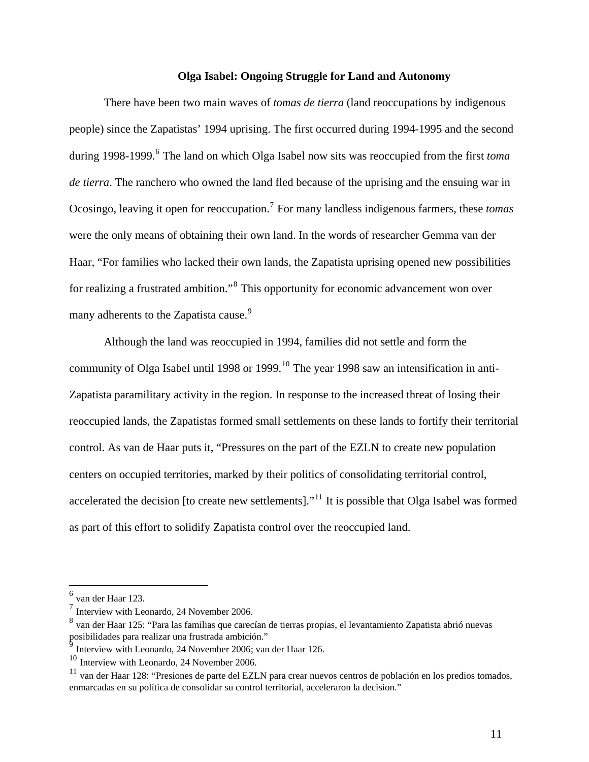## **Olga Isabel: Ongoing Struggle for Land and Autonomy**

 There have been two main waves of *tomas de tierra* (land reoccupations by indigenous people) since the Zapatistas' 1994 uprising. The first occurred during 1994-1995 and the second during 1998-1999.<sup>[6](#page-12-0)</sup> The land on which Olga Isabel now sits was reoccupied from the first *toma de tierra*. The ranchero who owned the land fled because of the uprising and the ensuing war in Ocosingo, leaving it open for reoccupation.[7](#page-12-1) For many landless indigenous farmers, these *tomas* were the only means of obtaining their own land. In the words of researcher Gemma van der Haar, "For families who lacked their own lands, the Zapatista uprising opened new possibilities for realizing a frustrated ambition."<sup>[8](#page-12-2)</sup> This opportunity for economic advancement won over many adherents to the Zapatista cause.<sup>[9](#page-12-3)</sup>

 Although the land was reoccupied in 1994, families did not settle and form the community of Olga Isabel until 1998 or 1999.<sup>[10](#page-12-4)</sup> The year 1998 saw an intensification in anti-Zapatista paramilitary activity in the region. In response to the increased threat of losing their reoccupied lands, the Zapatistas formed small settlements on these lands to fortify their territorial control. As van de Haar puts it, "Pressures on the part of the EZLN to create new population centers on occupied territories, marked by their politics of consolidating territorial control, accelerated the decision [to create new settlements]."<sup>[11](#page-12-5)</sup> It is possible that Olga Isabel was formed as part of this effort to solidify Zapatista control over the reoccupied land.

<span id="page-12-0"></span> $<sup>6</sup>$  van der Haar 123.</sup>

<span id="page-12-1"></span><sup>7</sup> Interview with Leonardo, 24 November 2006.

<span id="page-12-2"></span><sup>8</sup> van der Haar 125: "Para las familias que carecían de tierras propias, el levantamiento Zapatista abrió nuevas posibilidades para realizar una frustrada ambición."

<span id="page-12-3"></span><sup>9</sup> Interview with Leonardo, 24 November 2006; van der Haar 126.

<span id="page-12-4"></span><sup>10</sup> Interview with Leonardo, 24 November 2006.

<span id="page-12-5"></span> $11$  van der Haar 128: "Presiones de parte del EZLN para crear nuevos centros de población en los predios tomados, enmarcadas en su política de consolidar su control territorial, acceleraron la decision."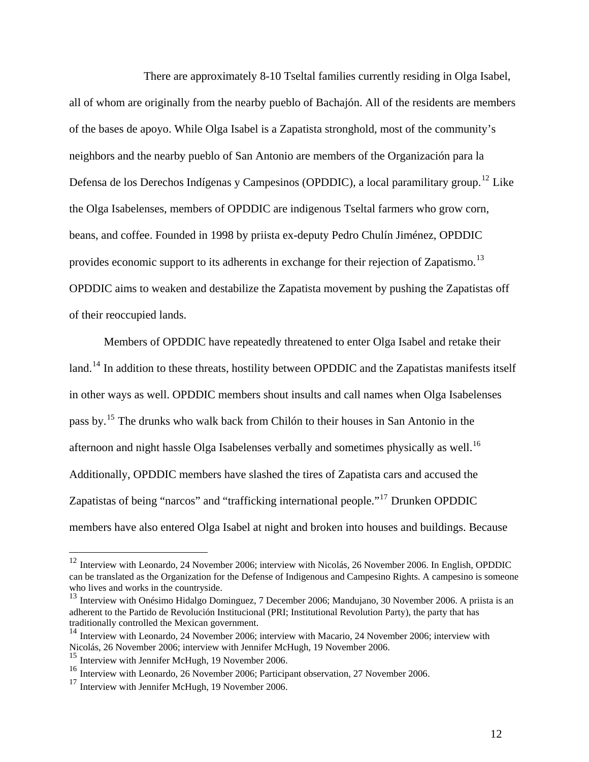There are approximately 8-10 Tseltal families currently residing in Olga Isabel, all of whom are originally from the nearby pueblo of Bachajón. All of the residents are members of the bases de apoyo. While Olga Isabel is a Zapatista stronghold, most of the community's neighbors and the nearby pueblo of San Antonio are members of the Organización para la Defensa de los Derechos Indígenas y Campesinos (OPDDIC), a local paramilitary group.<sup>[12](#page-13-0)</sup> Like the Olga Isabelenses, members of OPDDIC are indigenous Tseltal farmers who grow corn, beans, and coffee. Founded in 1998 by priista ex-deputy Pedro Chulín Jiménez, OPDDIC provides economic support to its adherents in exchange for their rejection of Zapatismo.<sup>[13](#page-13-1)</sup> OPDDIC aims to weaken and destabilize the Zapatista movement by pushing the Zapatistas off of their reoccupied lands.

 Members of OPDDIC have repeatedly threatened to enter Olga Isabel and retake their land.<sup>[14](#page-13-2)</sup> In addition to these threats, hostility between OPDDIC and the Zapatistas manifests itself in other ways as well. OPDDIC members shout insults and call names when Olga Isabelenses pass by.[15](#page-13-3) The drunks who walk back from Chilón to their houses in San Antonio in the afternoon and night hassle Olga Isabelenses verbally and sometimes physically as well.<sup>[16](#page-13-4)</sup> Additionally, OPDDIC members have slashed the tires of Zapatista cars and accused the Zapatistas of being "narcos" and "trafficking international people."[17](#page-13-5) Drunken OPDDIC members have also entered Olga Isabel at night and broken into houses and buildings. Because

<span id="page-13-0"></span> $12$  Interview with Leonardo, 24 November 2006; interview with Nicolás, 26 November 2006. In English, OPDDIC can be translated as the Organization for the Defense of Indigenous and Campesino Rights. A campesino is someone who lives and works in the countryside.

<span id="page-13-1"></span><sup>&</sup>lt;sup>13</sup> Interview with Onésimo Hidalgo Dominguez, 7 December 2006; Mandujano, 30 November 2006. A priista is an adherent to the Partido de Revolución Institucional (PRI; Institutional Revolution Party), the party that has traditionally controlled the Mexican government.

<span id="page-13-2"></span><sup>&</sup>lt;sup>14</sup> Interview with Leonardo, 24 November 2006; interview with Macario, 24 November 2006; interview with Nicolás, 26 November 2006; interview with Jennifer McHugh, 19 November 2006.

<span id="page-13-3"></span><sup>&</sup>lt;sup>15</sup> Interview with Jennifer McHugh, 19 November 2006.

<span id="page-13-4"></span><sup>&</sup>lt;sup>16</sup> Interview with Leonardo, 26 November 2006; Participant observation, 27 November 2006.

<span id="page-13-5"></span> $17$  Interview with Jennifer McHugh, 19 November 2006.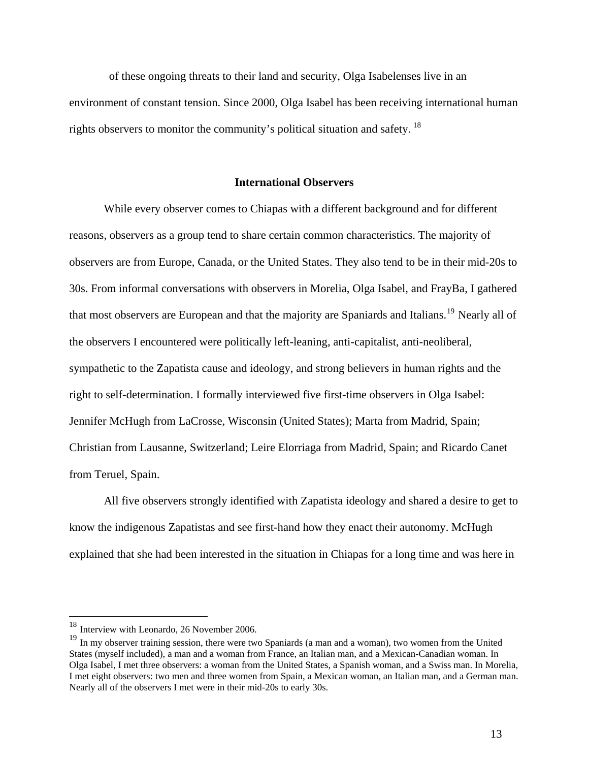of these ongoing threats to their land and security, Olga Isabelenses live in an environment of constant tension. Since 2000, Olga Isabel has been receiving international human rights observers to monitor the community's political situation and safety.  $^{18}$  $^{18}$  $^{18}$ 

## **International Observers**

 While every observer comes to Chiapas with a different background and for different reasons, observers as a group tend to share certain common characteristics. The majority of observers are from Europe, Canada, or the United States. They also tend to be in their mid-20s to 30s. From informal conversations with observers in Morelia, Olga Isabel, and FrayBa, I gathered that most observers are European and that the majority are Spaniards and Italians.<sup>[19](#page-14-1)</sup> Nearly all of the observers I encountered were politically left-leaning, anti-capitalist, anti-neoliberal, sympathetic to the Zapatista cause and ideology, and strong believers in human rights and the right to self-determination. I formally interviewed five first-time observers in Olga Isabel: Jennifer McHugh from LaCrosse, Wisconsin (United States); Marta from Madrid, Spain; Christian from Lausanne, Switzerland; Leire Elorriaga from Madrid, Spain; and Ricardo Canet from Teruel, Spain.

 All five observers strongly identified with Zapatista ideology and shared a desire to get to know the indigenous Zapatistas and see first-hand how they enact their autonomy. McHugh explained that she had been interested in the situation in Chiapas for a long time and was here in

<span id="page-14-0"></span><sup>&</sup>lt;sup>18</sup> Interview with Leonardo, 26 November 2006.

<span id="page-14-1"></span><sup>&</sup>lt;sup>19</sup> In my observer training session, there were two Spaniards (a man and a woman), two women from the United States (myself included), a man and a woman from France, an Italian man, and a Mexican-Canadian woman. In Olga Isabel, I met three observers: a woman from the United States, a Spanish woman, and a Swiss man. In Morelia, I met eight observers: two men and three women from Spain, a Mexican woman, an Italian man, and a German man. Nearly all of the observers I met were in their mid-20s to early 30s.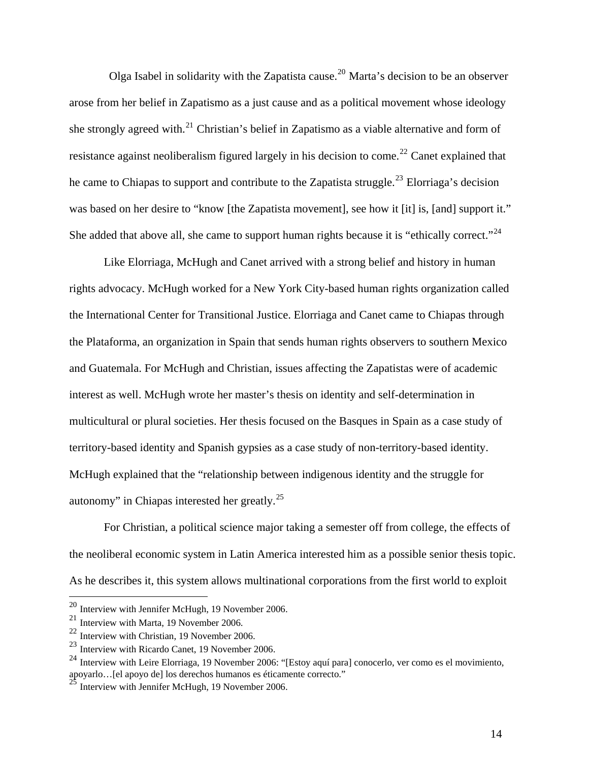Olga Isabel in solidarity with the Zapatista cause.<sup>[20](#page-15-0)</sup> Marta's decision to be an observer arose from her belief in Zapatismo as a just cause and as a political movement whose ideology she strongly agreed with.<sup>[21](#page-15-1)</sup> Christian's belief in Zapatismo as a viable alternative and form of resistance against neoliberalism figured largely in his decision to come.<sup>[22](#page-15-2)</sup> Canet explained that he came to Chiapas to support and contribute to the Zapatista struggle.<sup>[23](#page-15-3)</sup> Elorriaga's decision was based on her desire to "know [the Zapatista movement], see how it [it] is, [and] support it." She added that above all, she came to support human rights because it is "ethically correct."<sup>[24](#page-15-4)</sup>

 Like Elorriaga, McHugh and Canet arrived with a strong belief and history in human rights advocacy. McHugh worked for a New York City-based human rights organization called the International Center for Transitional Justice. Elorriaga and Canet came to Chiapas through the Plataforma, an organization in Spain that sends human rights observers to southern Mexico and Guatemala. For McHugh and Christian, issues affecting the Zapatistas were of academic interest as well. McHugh wrote her master's thesis on identity and self-determination in multicultural or plural societies. Her thesis focused on the Basques in Spain as a case study of territory-based identity and Spanish gypsies as a case study of non-territory-based identity. McHugh explained that the "relationship between indigenous identity and the struggle for autonomy" in Chiapas interested her greatly.[25](#page-15-5)

 For Christian, a political science major taking a semester off from college, the effects of the neoliberal economic system in Latin America interested him as a possible senior thesis topic. As he describes it, this system allows multinational corporations from the first world to exploit

<span id="page-15-0"></span> $^{20}$  Interview with Jennifer McHugh, 19 November 2006.

<span id="page-15-1"></span><sup>21</sup> Interview with Marta, 19 November 2006.

<span id="page-15-2"></span><sup>22</sup> Interview with Christian, 19 November 2006.

<span id="page-15-3"></span><sup>23</sup> Interview with Ricardo Canet, 19 November 2006.

<span id="page-15-4"></span><sup>24</sup> Interview with Leire Elorriaga, 19 November 2006: "[Estoy aquí para] conocerlo, ver como es el movimiento, apoyarlo…[el apoyo de] los derechos humanos es éticamente correcto."

<span id="page-15-5"></span> $25$  Interview with Jennifer McHugh, 19 November 2006.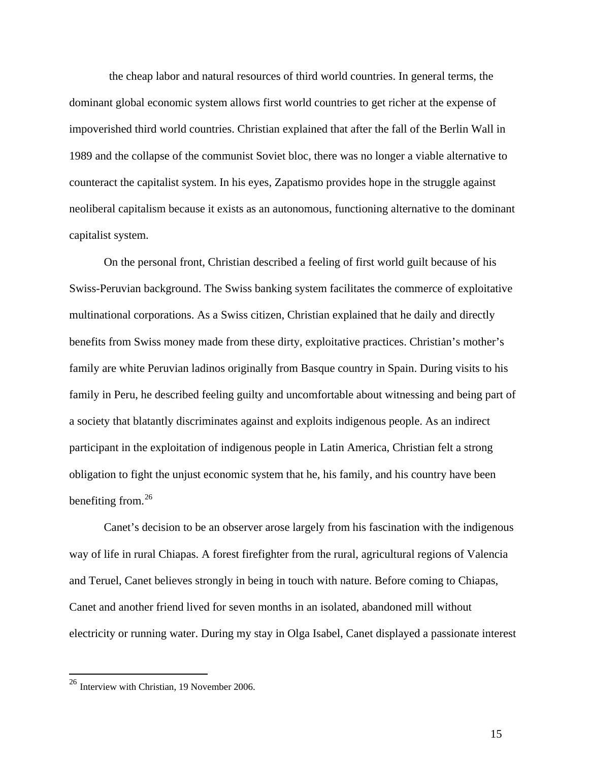the cheap labor and natural resources of third world countries. In general terms, the dominant global economic system allows first world countries to get richer at the expense of impoverished third world countries. Christian explained that after the fall of the Berlin Wall in 1989 and the collapse of the communist Soviet bloc, there was no longer a viable alternative to counteract the capitalist system. In his eyes, Zapatismo provides hope in the struggle against neoliberal capitalism because it exists as an autonomous, functioning alternative to the dominant capitalist system.

 On the personal front, Christian described a feeling of first world guilt because of his Swiss-Peruvian background. The Swiss banking system facilitates the commerce of exploitative multinational corporations. As a Swiss citizen, Christian explained that he daily and directly benefits from Swiss money made from these dirty, exploitative practices. Christian's mother's family are white Peruvian ladinos originally from Basque country in Spain. During visits to his family in Peru, he described feeling guilty and uncomfortable about witnessing and being part of a society that blatantly discriminates against and exploits indigenous people. As an indirect participant in the exploitation of indigenous people in Latin America, Christian felt a strong obligation to fight the unjust economic system that he, his family, and his country have been benefiting from. $^{26}$  $^{26}$  $^{26}$ 

 Canet's decision to be an observer arose largely from his fascination with the indigenous way of life in rural Chiapas. A forest firefighter from the rural, agricultural regions of Valencia and Teruel, Canet believes strongly in being in touch with nature. Before coming to Chiapas, Canet and another friend lived for seven months in an isolated, abandoned mill without electricity or running water. During my stay in Olga Isabel, Canet displayed a passionate interest

 $\overline{a}$ 

<span id="page-16-0"></span><sup>&</sup>lt;sup>26</sup> Interview with Christian, 19 November 2006.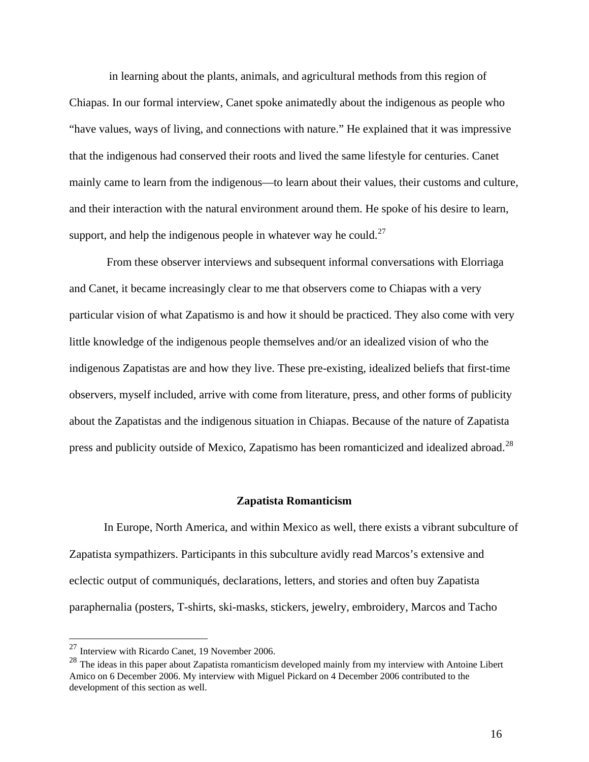in learning about the plants, animals, and agricultural methods from this region of Chiapas. In our formal interview, Canet spoke animatedly about the indigenous as people who "have values, ways of living, and connections with nature." He explained that it was impressive that the indigenous had conserved their roots and lived the same lifestyle for centuries. Canet mainly came to learn from the indigenous—to learn about their values, their customs and culture, and their interaction with the natural environment around them. He spoke of his desire to learn, support, and help the indigenous people in whatever way he could.<sup>[27](#page-17-0)</sup>

 From these observer interviews and subsequent informal conversations with Elorriaga and Canet, it became increasingly clear to me that observers come to Chiapas with a very particular vision of what Zapatismo is and how it should be practiced. They also come with very little knowledge of the indigenous people themselves and/or an idealized vision of who the indigenous Zapatistas are and how they live. These pre-existing, idealized beliefs that first-time observers, myself included, arrive with come from literature, press, and other forms of publicity about the Zapatistas and the indigenous situation in Chiapas. Because of the nature of Zapatista press and publicity outside of Mexico, Zapatismo has been romanticized and idealized abroad.<sup>[28](#page-17-1)</sup>

#### **Zapatista Romanticism**

 In Europe, North America, and within Mexico as well, there exists a vibrant subculture of Zapatista sympathizers. Participants in this subculture avidly read Marcos's extensive and eclectic output of communiqués, declarations, letters, and stories and often buy Zapatista paraphernalia (posters, T-shirts, ski-masks, stickers, jewelry, embroidery, Marcos and Tacho

<span id="page-17-0"></span><sup>27</sup> Interview with Ricardo Canet, 19 November 2006.

<span id="page-17-1"></span><sup>&</sup>lt;sup>28</sup> The ideas in this paper about Zapatista romanticism developed mainly from my interview with Antoine Libert Amico on 6 December 2006. My interview with Miguel Pickard on 4 December 2006 contributed to the development of this section as well.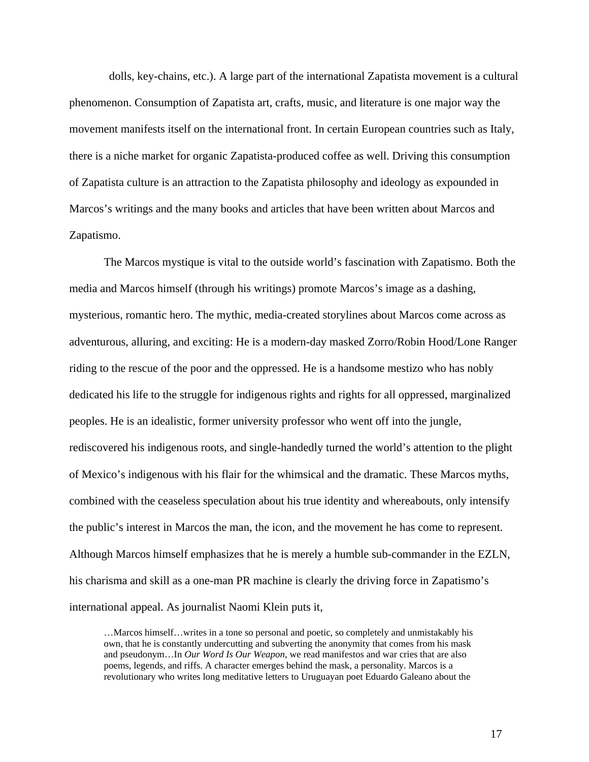dolls, key-chains, etc.). A large part of the international Zapatista movement is a cultural phenomenon. Consumption of Zapatista art, crafts, music, and literature is one major way the movement manifests itself on the international front. In certain European countries such as Italy, there is a niche market for organic Zapatista-produced coffee as well. Driving this consumption of Zapatista culture is an attraction to the Zapatista philosophy and ideology as expounded in Marcos's writings and the many books and articles that have been written about Marcos and Zapatismo.

 The Marcos mystique is vital to the outside world's fascination with Zapatismo. Both the media and Marcos himself (through his writings) promote Marcos's image as a dashing, mysterious, romantic hero. The mythic, media-created storylines about Marcos come across as adventurous, alluring, and exciting: He is a modern-day masked Zorro/Robin Hood/Lone Ranger riding to the rescue of the poor and the oppressed. He is a handsome mestizo who has nobly dedicated his life to the struggle for indigenous rights and rights for all oppressed, marginalized peoples. He is an idealistic, former university professor who went off into the jungle, rediscovered his indigenous roots, and single-handedly turned the world's attention to the plight of Mexico's indigenous with his flair for the whimsical and the dramatic. These Marcos myths, combined with the ceaseless speculation about his true identity and whereabouts, only intensify the public's interest in Marcos the man, the icon, and the movement he has come to represent. Although Marcos himself emphasizes that he is merely a humble sub-commander in the EZLN, his charisma and skill as a one-man PR machine is clearly the driving force in Zapatismo's international appeal. As journalist Naomi Klein puts it,

…Marcos himself…writes in a tone so personal and poetic, so completely and unmistakably his own, that he is constantly undercutting and subverting the anonymity that comes from his mask and pseudonym…In *Our Word Is Our Weapon*, we read manifestos and war cries that are also poems, legends, and riffs. A character emerges behind the mask, a personality. Marcos is a revolutionary who writes long meditative letters to Uruguayan poet Eduardo Galeano about the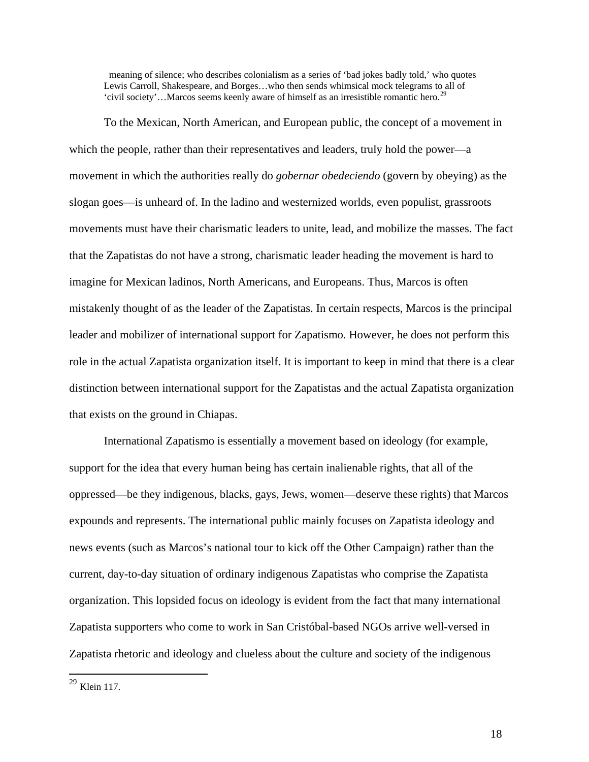meaning of silence; who describes colonialism as a series of 'bad jokes badly told,' who quotes Lewis Carroll, Shakespeare, and Borges…who then sends whimsical mock telegrams to all of 'civil society'...Marcos seems keenly aware of himself as an irresistible romantic hero.<sup>[29](#page-19-0)</sup>

 To the Mexican, North American, and European public, the concept of a movement in which the people, rather than their representatives and leaders, truly hold the power—a movement in which the authorities really do *gobernar obedeciendo* (govern by obeying) as the slogan goes—is unheard of. In the ladino and westernized worlds, even populist, grassroots movements must have their charismatic leaders to unite, lead, and mobilize the masses. The fact that the Zapatistas do not have a strong, charismatic leader heading the movement is hard to imagine for Mexican ladinos, North Americans, and Europeans. Thus, Marcos is often mistakenly thought of as the leader of the Zapatistas. In certain respects, Marcos is the principal leader and mobilizer of international support for Zapatismo. However, he does not perform this role in the actual Zapatista organization itself. It is important to keep in mind that there is a clear distinction between international support for the Zapatistas and the actual Zapatista organization that exists on the ground in Chiapas.

 International Zapatismo is essentially a movement based on ideology (for example, support for the idea that every human being has certain inalienable rights, that all of the oppressed—be they indigenous, blacks, gays, Jews, women—deserve these rights) that Marcos expounds and represents. The international public mainly focuses on Zapatista ideology and news events (such as Marcos's national tour to kick off the Other Campaign) rather than the current, day-to-day situation of ordinary indigenous Zapatistas who comprise the Zapatista organization. This lopsided focus on ideology is evident from the fact that many international Zapatista supporters who come to work in San Cristóbal-based NGOs arrive well-versed in Zapatista rhetoric and ideology and clueless about the culture and society of the indigenous

<span id="page-19-0"></span> $^{29}$  Klein 117.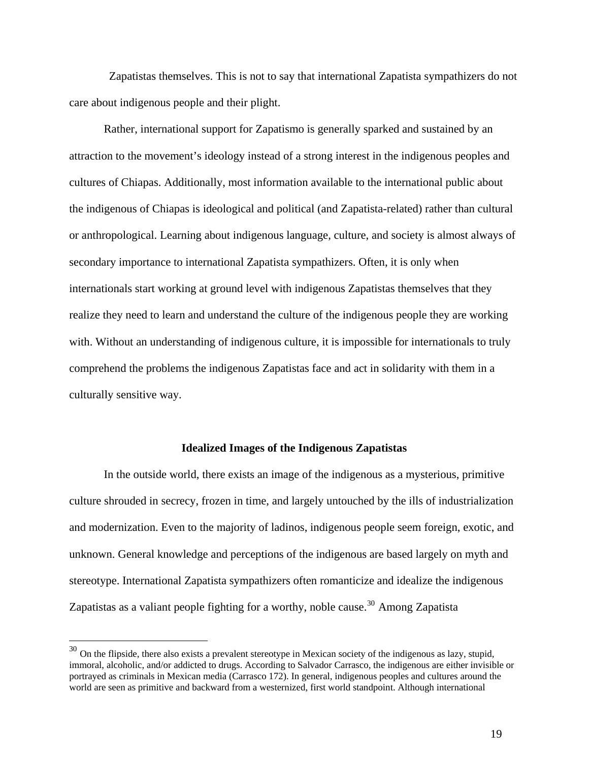Zapatistas themselves. This is not to say that international Zapatista sympathizers do not care about indigenous people and their plight.

 Rather, international support for Zapatismo is generally sparked and sustained by an attraction to the movement's ideology instead of a strong interest in the indigenous peoples and cultures of Chiapas. Additionally, most information available to the international public about the indigenous of Chiapas is ideological and political (and Zapatista-related) rather than cultural or anthropological. Learning about indigenous language, culture, and society is almost always of secondary importance to international Zapatista sympathizers. Often, it is only when internationals start working at ground level with indigenous Zapatistas themselves that they realize they need to learn and understand the culture of the indigenous people they are working with. Without an understanding of indigenous culture, it is impossible for internationals to truly comprehend the problems the indigenous Zapatistas face and act in solidarity with them in a culturally sensitive way.

## **Idealized Images of the Indigenous Zapatistas**

 In the outside world, there exists an image of the indigenous as a mysterious, primitive culture shrouded in secrecy, frozen in time, and largely untouched by the ills of industrialization and modernization. Even to the majority of ladinos, indigenous people seem foreign, exotic, and unknown. General knowledge and perceptions of the indigenous are based largely on myth and stereotype. International Zapatista sympathizers often romanticize and idealize the indigenous Zapatistas as a valiant people fighting for a worthy, noble cause.<sup>[30](#page-20-0)</sup> Among Zapatista

<span id="page-20-0"></span> $30$  On the flipside, there also exists a prevalent stereotype in Mexican society of the indigenous as lazy, stupid, immoral, alcoholic, and/or addicted to drugs. According to Salvador Carrasco, the indigenous are either invisible or portrayed as criminals in Mexican media (Carrasco 172). In general, indigenous peoples and cultures around the world are seen as primitive and backward from a westernized, first world standpoint. Although international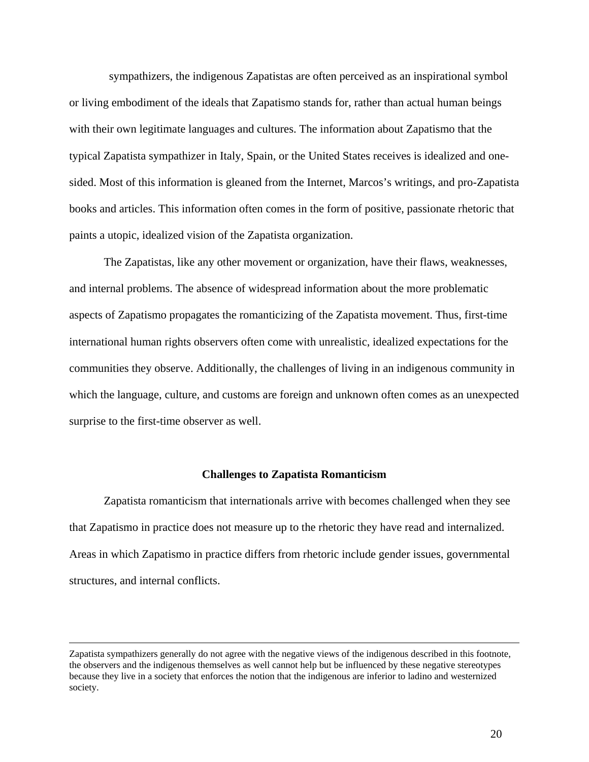sympathizers, the indigenous Zapatistas are often perceived as an inspirational symbol or living embodiment of the ideals that Zapatismo stands for, rather than actual human beings with their own legitimate languages and cultures. The information about Zapatismo that the typical Zapatista sympathizer in Italy, Spain, or the United States receives is idealized and onesided. Most of this information is gleaned from the Internet, Marcos's writings, and pro-Zapatista books and articles. This information often comes in the form of positive, passionate rhetoric that paints a utopic, idealized vision of the Zapatista organization.

 The Zapatistas, like any other movement or organization, have their flaws, weaknesses, and internal problems. The absence of widespread information about the more problematic aspects of Zapatismo propagates the romanticizing of the Zapatista movement. Thus, first-time international human rights observers often come with unrealistic, idealized expectations for the communities they observe. Additionally, the challenges of living in an indigenous community in which the language, culture, and customs are foreign and unknown often comes as an unexpected surprise to the first-time observer as well.

#### **Challenges to Zapatista Romanticism**

 Zapatista romanticism that internationals arrive with becomes challenged when they see that Zapatismo in practice does not measure up to the rhetoric they have read and internalized. Areas in which Zapatismo in practice differs from rhetoric include gender issues, governmental structures, and internal conflicts.

Zapatista sympathizers generally do not agree with the negative views of the indigenous described in this footnote, the observers and the indigenous themselves as well cannot help but be influenced by these negative stereotypes because they live in a society that enforces the notion that the indigenous are inferior to ladino and westernized society.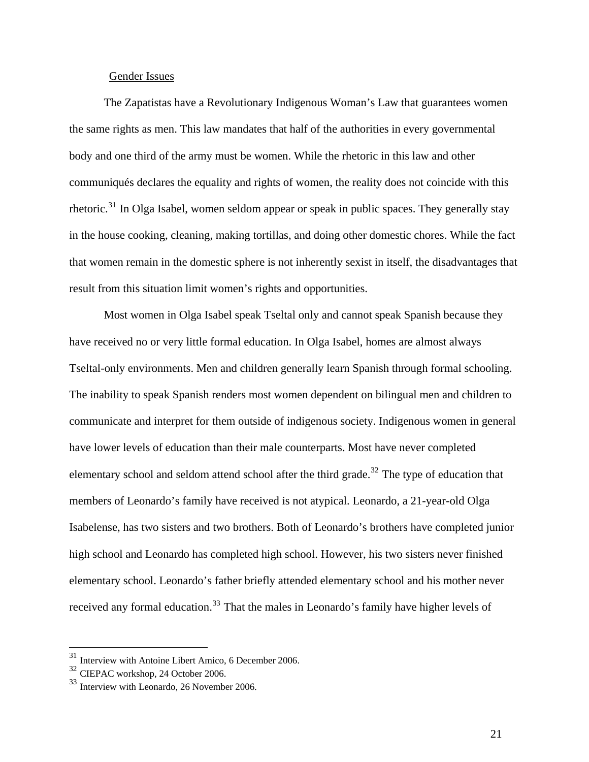# Gender Issues

 The Zapatistas have a Revolutionary Indigenous Woman's Law that guarantees women the same rights as men. This law mandates that half of the authorities in every governmental body and one third of the army must be women. While the rhetoric in this law and other communiqués declares the equality and rights of women, the reality does not coincide with this rhetoric.<sup>[31](#page-22-0)</sup> In Olga Isabel, women seldom appear or speak in public spaces. They generally stay in the house cooking, cleaning, making tortillas, and doing other domestic chores. While the fact that women remain in the domestic sphere is not inherently sexist in itself, the disadvantages that result from this situation limit women's rights and opportunities.

 Most women in Olga Isabel speak Tseltal only and cannot speak Spanish because they have received no or very little formal education. In Olga Isabel, homes are almost always Tseltal-only environments. Men and children generally learn Spanish through formal schooling. The inability to speak Spanish renders most women dependent on bilingual men and children to communicate and interpret for them outside of indigenous society. Indigenous women in general have lower levels of education than their male counterparts. Most have never completed elementary school and seldom attend school after the third grade.<sup>[32](#page-22-1)</sup> The type of education that members of Leonardo's family have received is not atypical. Leonardo, a 21-year-old Olga Isabelense, has two sisters and two brothers. Both of Leonardo's brothers have completed junior high school and Leonardo has completed high school. However, his two sisters never finished elementary school. Leonardo's father briefly attended elementary school and his mother never received any formal education.<sup>[33](#page-22-2)</sup> That the males in Leonardo's family have higher levels of

Interview with Antoine Libert Amico, 6 December 2006.

<span id="page-22-1"></span><span id="page-22-0"></span><sup>32</sup> CIEPAC workshop, 24 October 2006.

<span id="page-22-2"></span><sup>33</sup> Interview with Leonardo, 26 November 2006.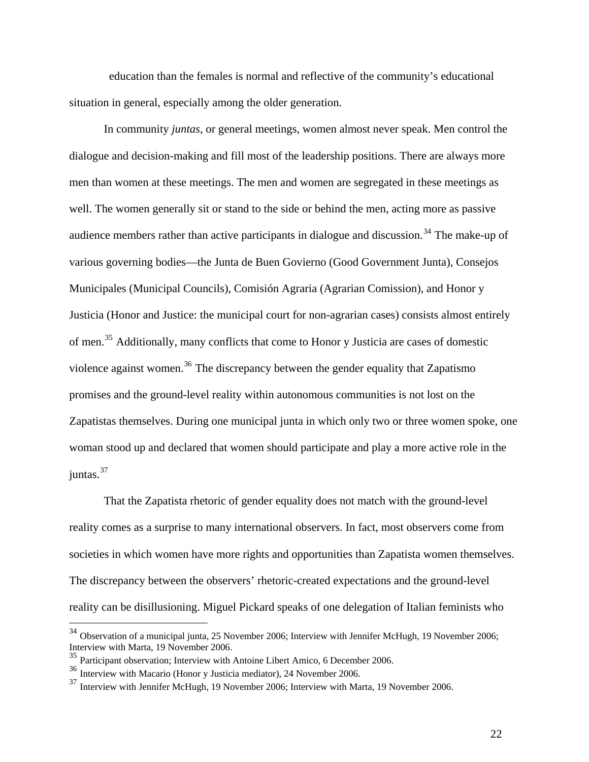education than the females is normal and reflective of the community's educational situation in general, especially among the older generation.

 In community *juntas*, or general meetings, women almost never speak. Men control the dialogue and decision-making and fill most of the leadership positions. There are always more men than women at these meetings. The men and women are segregated in these meetings as well. The women generally sit or stand to the side or behind the men, acting more as passive audience members rather than active participants in dialogue and discussion.<sup>[34](#page-23-0)</sup> The make-up of various governing bodies—the Junta de Buen Govierno (Good Government Junta), Consejos Municipales (Municipal Councils), Comisión Agraria (Agrarian Comission), and Honor y Justicia (Honor and Justice: the municipal court for non-agrarian cases) consists almost entirely of men.[35](#page-23-1) Additionally, many conflicts that come to Honor y Justicia are cases of domestic violence against women.<sup>[36](#page-23-2)</sup> The discrepancy between the gender equality that Zapatismo promises and the ground-level reality within autonomous communities is not lost on the Zapatistas themselves. During one municipal junta in which only two or three women spoke, one woman stood up and declared that women should participate and play a more active role in the juntas.<sup>[37](#page-23-3)</sup>

 That the Zapatista rhetoric of gender equality does not match with the ground-level reality comes as a surprise to many international observers. In fact, most observers come from societies in which women have more rights and opportunities than Zapatista women themselves. The discrepancy between the observers' rhetoric-created expectations and the ground-level reality can be disillusioning. Miguel Pickard speaks of one delegation of Italian feminists who

<span id="page-23-0"></span> $34$  Observation of a municipal junta, 25 November 2006; Interview with Jennifer McHugh, 19 November 2006; Interview with Marta, 19 November 2006.

<span id="page-23-1"></span><sup>&</sup>lt;sup>35</sup> Participant observation; Interview with Antoine Libert Amico, 6 December 2006.

<span id="page-23-2"></span><sup>36</sup> Interview with Macario (Honor y Justicia mediator), 24 November 2006.

<span id="page-23-3"></span><sup>37</sup> Interview with Jennifer McHugh, 19 November 2006; Interview with Marta, 19 November 2006.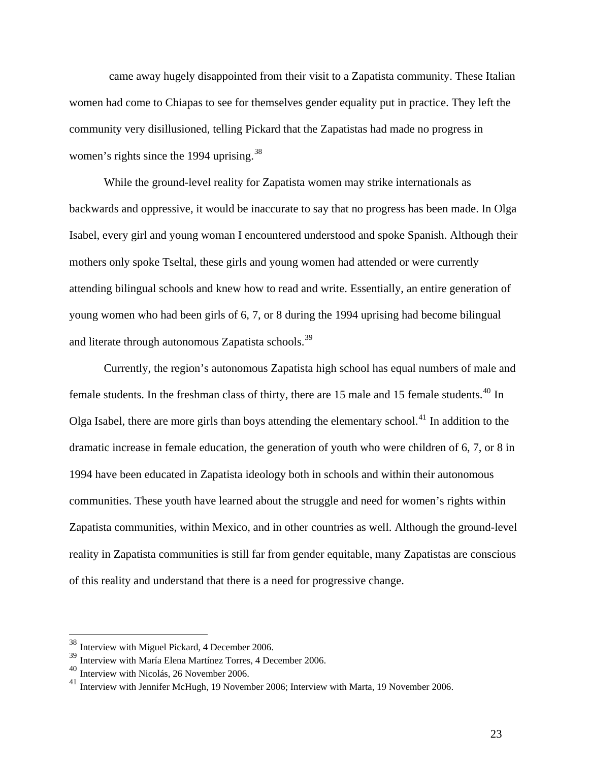came away hugely disappointed from their visit to a Zapatista community. These Italian women had come to Chiapas to see for themselves gender equality put in practice. They left the community very disillusioned, telling Pickard that the Zapatistas had made no progress in women's rights since the 1994 uprising.<sup>[38](#page-24-0)</sup>

 While the ground-level reality for Zapatista women may strike internationals as backwards and oppressive, it would be inaccurate to say that no progress has been made. In Olga Isabel, every girl and young woman I encountered understood and spoke Spanish. Although their mothers only spoke Tseltal, these girls and young women had attended or were currently attending bilingual schools and knew how to read and write. Essentially, an entire generation of young women who had been girls of 6, 7, or 8 during the 1994 uprising had become bilingual and literate through autonomous Zapatista schools.<sup>[39](#page-24-1)</sup>

 Currently, the region's autonomous Zapatista high school has equal numbers of male and female students. In the freshman class of thirty, there are 15 male and 15 female students.<sup>[40](#page-24-2)</sup> In Olga Isabel, there are more girls than boys attending the elementary school.<sup>[41](#page-24-3)</sup> In addition to the dramatic increase in female education, the generation of youth who were children of 6, 7, or 8 in 1994 have been educated in Zapatista ideology both in schools and within their autonomous communities. These youth have learned about the struggle and need for women's rights within Zapatista communities, within Mexico, and in other countries as well. Although the ground-level reality in Zapatista communities is still far from gender equitable, many Zapatistas are conscious of this reality and understand that there is a need for progressive change.

<span id="page-24-0"></span><sup>38</sup> Interview with Miguel Pickard, 4 December 2006.

<span id="page-24-1"></span><sup>39</sup> Interview with María Elena Martínez Torres, 4 December 2006.

<span id="page-24-2"></span> $^{40}$  Interview with Nicolás, 26 November 2006.

<span id="page-24-3"></span><sup>&</sup>lt;sup>41</sup> Interview with Jennifer McHugh, 19 November 2006; Interview with Marta, 19 November 2006.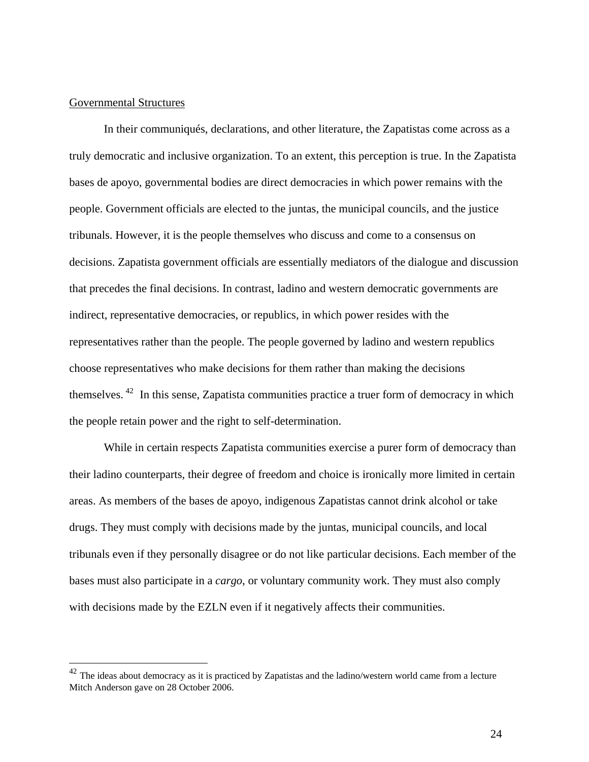# Governmental Structures

 $\overline{a}$ 

 In their communiqués, declarations, and other literature, the Zapatistas come across as a truly democratic and inclusive organization. To an extent, this perception is true. In the Zapatista bases de apoyo, governmental bodies are direct democracies in which power remains with the people. Government officials are elected to the juntas, the municipal councils, and the justice tribunals. However, it is the people themselves who discuss and come to a consensus on decisions. Zapatista government officials are essentially mediators of the dialogue and discussion that precedes the final decisions. In contrast, ladino and western democratic governments are indirect, representative democracies, or republics, in which power resides with the representatives rather than the people. The people governed by ladino and western republics choose representatives who make decisions for them rather than making the decisions themselves. [42](#page-25-0) In this sense, Zapatista communities practice a truer form of democracy in which the people retain power and the right to self-determination.

 While in certain respects Zapatista communities exercise a purer form of democracy than their ladino counterparts, their degree of freedom and choice is ironically more limited in certain areas. As members of the bases de apoyo, indigenous Zapatistas cannot drink alcohol or take drugs. They must comply with decisions made by the juntas, municipal councils, and local tribunals even if they personally disagree or do not like particular decisions. Each member of the bases must also participate in a *cargo*, or voluntary community work. They must also comply with decisions made by the EZLN even if it negatively affects their communities.

<span id="page-25-0"></span> $42$  The ideas about democracy as it is practiced by Zapatistas and the ladino/western world came from a lecture Mitch Anderson gave on 28 October 2006.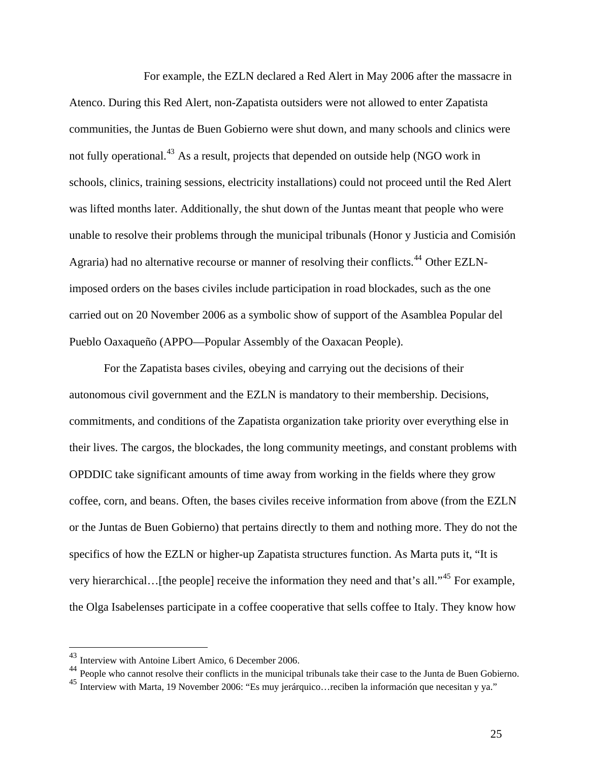For example, the EZLN declared a Red Alert in May 2006 after the massacre in Atenco. During this Red Alert, non-Zapatista outsiders were not allowed to enter Zapatista communities, the Juntas de Buen Gobierno were shut down, and many schools and clinics were not fully operational.<sup>[43](#page-26-0)</sup> As a result, projects that depended on outside help (NGO work in schools, clinics, training sessions, electricity installations) could not proceed until the Red Alert was lifted months later. Additionally, the shut down of the Juntas meant that people who were unable to resolve their problems through the municipal tribunals (Honor y Justicia and Comisión Agraria) had no alternative recourse or manner of resolving their conflicts.<sup>[44](#page-26-1)</sup> Other EZLNimposed orders on the bases civiles include participation in road blockades, such as the one carried out on 20 November 2006 as a symbolic show of support of the Asamblea Popular del Pueblo Oaxaqueño (APPO—Popular Assembly of the Oaxacan People).

 For the Zapatista bases civiles, obeying and carrying out the decisions of their autonomous civil government and the EZLN is mandatory to their membership. Decisions, commitments, and conditions of the Zapatista organization take priority over everything else in their lives. The cargos, the blockades, the long community meetings, and constant problems with OPDDIC take significant amounts of time away from working in the fields where they grow coffee, corn, and beans. Often, the bases civiles receive information from above (from the EZLN or the Juntas de Buen Gobierno) that pertains directly to them and nothing more. They do not the specifics of how the EZLN or higher-up Zapatista structures function. As Marta puts it, "It is very hierarchical…[the people] receive the information they need and that's all."[45](#page-26-2) For example, the Olga Isabelenses participate in a coffee cooperative that sells coffee to Italy. They know how

<span id="page-26-0"></span><sup>43</sup> Interview with Antoine Libert Amico, 6 December 2006.

<span id="page-26-1"></span><sup>&</sup>lt;sup>44</sup> People who cannot resolve their conflicts in the municipal tribunals take their case to the Junta de Buen Gobierno.

<span id="page-26-2"></span><sup>45</sup> Interview with Marta, 19 November 2006: "Es muy jerárquico…reciben la información que necesitan y ya."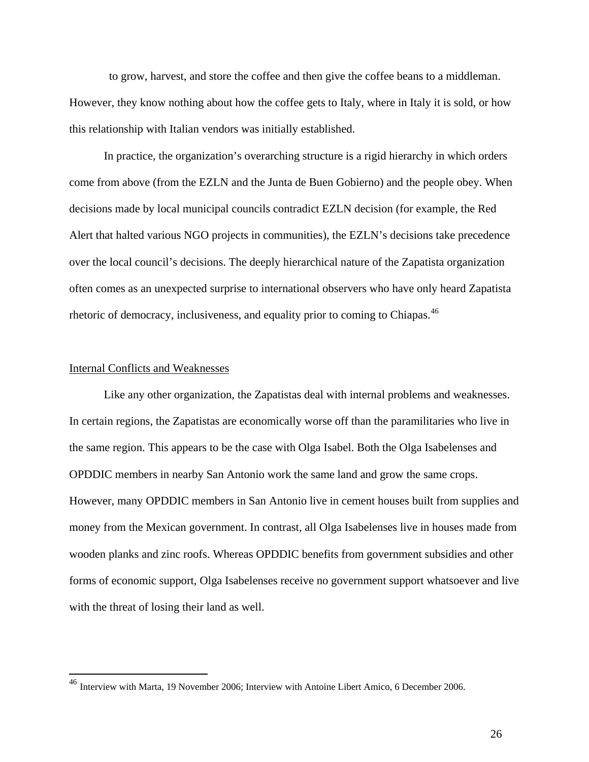to grow, harvest, and store the coffee and then give the coffee beans to a middleman. However, they know nothing about how the coffee gets to Italy, where in Italy it is sold, or how this relationship with Italian vendors was initially established.

 In practice, the organization's overarching structure is a rigid hierarchy in which orders come from above (from the EZLN and the Junta de Buen Gobierno) and the people obey. When decisions made by local municipal councils contradict EZLN decision (for example, the Red Alert that halted various NGO projects in communities), the EZLN's decisions take precedence over the local council's decisions. The deeply hierarchical nature of the Zapatista organization often comes as an unexpected surprise to international observers who have only heard Zapatista rhetoric of democracy, inclusiveness, and equality prior to coming to Chiapas.<sup>[46](#page-27-0)</sup>

#### Internal Conflicts and Weaknesses

 $\overline{a}$ 

 Like any other organization, the Zapatistas deal with internal problems and weaknesses. In certain regions, the Zapatistas are economically worse off than the paramilitaries who live in the same region. This appears to be the case with Olga Isabel. Both the Olga Isabelenses and OPDDIC members in nearby San Antonio work the same land and grow the same crops. However, many OPDDIC members in San Antonio live in cement houses built from supplies and money from the Mexican government. In contrast, all Olga Isabelenses live in houses made from wooden planks and zinc roofs. Whereas OPDDIC benefits from government subsidies and other forms of economic support, Olga Isabelenses receive no government support whatsoever and live with the threat of losing their land as well.

<span id="page-27-0"></span><sup>&</sup>lt;sup>46</sup> Interview with Marta, 19 November 2006; Interview with Antoine Libert Amico, 6 December 2006.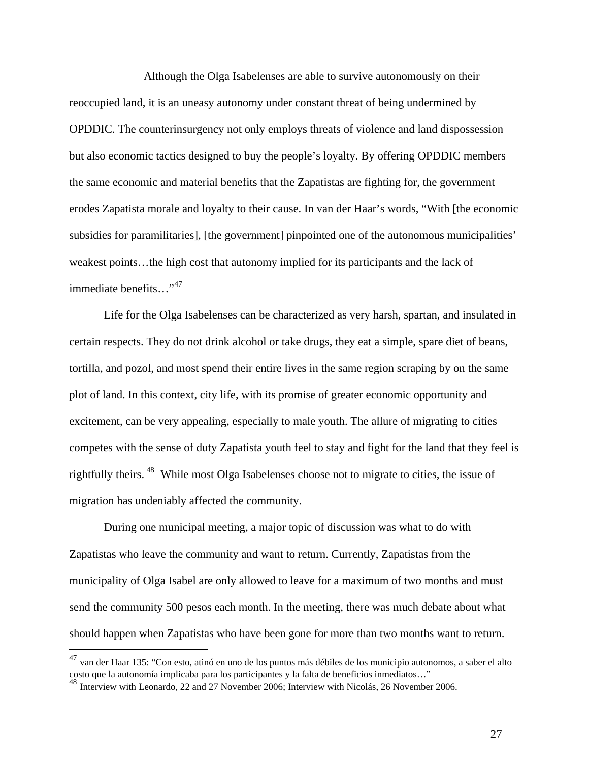Although the Olga Isabelenses are able to survive autonomously on their reoccupied land, it is an uneasy autonomy under constant threat of being undermined by OPDDIC. The counterinsurgency not only employs threats of violence and land dispossession but also economic tactics designed to buy the people's loyalty. By offering OPDDIC members the same economic and material benefits that the Zapatistas are fighting for, the government erodes Zapatista morale and loyalty to their cause. In van der Haar's words, "With [the economic subsidies for paramilitaries], [the government] pinpointed one of the autonomous municipalities' weakest points…the high cost that autonomy implied for its participants and the lack of immediate benefits…"<sup>[47](#page-28-0)</sup>

 Life for the Olga Isabelenses can be characterized as very harsh, spartan, and insulated in certain respects. They do not drink alcohol or take drugs, they eat a simple, spare diet of beans, tortilla, and pozol, and most spend their entire lives in the same region scraping by on the same plot of land. In this context, city life, with its promise of greater economic opportunity and excitement, can be very appealing, especially to male youth. The allure of migrating to cities competes with the sense of duty Zapatista youth feel to stay and fight for the land that they feel is rightfully theirs. [48](#page-28-1) While most Olga Isabelenses choose not to migrate to cities, the issue of migration has undeniably affected the community.

 During one municipal meeting, a major topic of discussion was what to do with Zapatistas who leave the community and want to return. Currently, Zapatistas from the municipality of Olga Isabel are only allowed to leave for a maximum of two months and must send the community 500 pesos each month. In the meeting, there was much debate about what should happen when Zapatistas who have been gone for more than two months want to return.

<span id="page-28-0"></span> $^{47}$  van der Haar 135: "Con esto, atinó en uno de los puntos más débiles de los municipio autonomos, a saber el alto costo que la autonomía implicaba para los participantes y la falta de beneficios inmediatos…"

<span id="page-28-1"></span><sup>48</sup> Interview with Leonardo, 22 and 27 November 2006; Interview with Nicolás, 26 November 2006.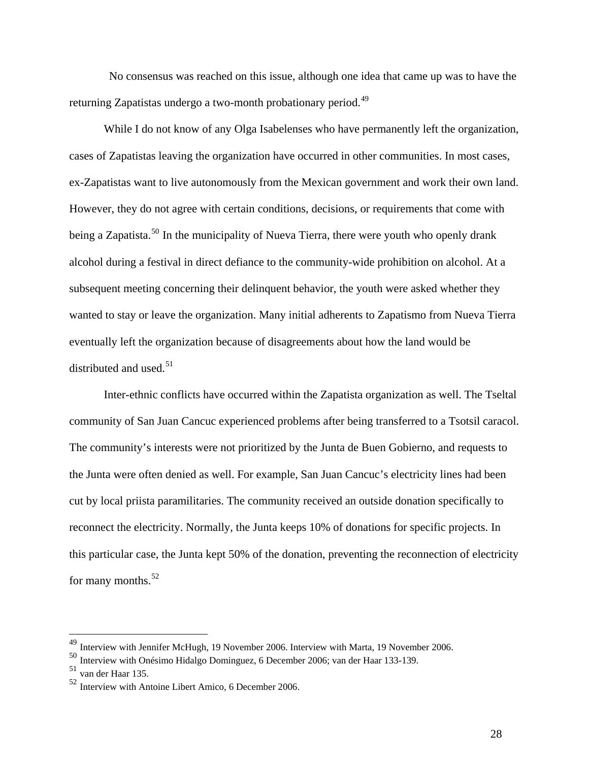No consensus was reached on this issue, although one idea that came up was to have the returning Zapatistas undergo a two-month probationary period.<sup>[49](#page-29-0)</sup>

While I do not know of any Olga Isabelenses who have permanently left the organization, cases of Zapatistas leaving the organization have occurred in other communities. In most cases, ex-Zapatistas want to live autonomously from the Mexican government and work their own land. However, they do not agree with certain conditions, decisions, or requirements that come with being a Zapatista.<sup>[50](#page-29-1)</sup> In the municipality of Nueva Tierra, there were youth who openly drank alcohol during a festival in direct defiance to the community-wide prohibition on alcohol. At a subsequent meeting concerning their delinquent behavior, the youth were asked whether they wanted to stay or leave the organization. Many initial adherents to Zapatismo from Nueva Tierra eventually left the organization because of disagreements about how the land would be distributed and used.<sup>[51](#page-29-2)</sup>

 Inter-ethnic conflicts have occurred within the Zapatista organization as well. The Tseltal community of San Juan Cancuc experienced problems after being transferred to a Tsotsil caracol. The community's interests were not prioritized by the Junta de Buen Gobierno, and requests to the Junta were often denied as well. For example, San Juan Cancuc's electricity lines had been cut by local priista paramilitaries. The community received an outside donation specifically to reconnect the electricity. Normally, the Junta keeps 10% of donations for specific projects. In this particular case, the Junta kept 50% of the donation, preventing the reconnection of electricity for many months.<sup>[52](#page-29-3)</sup>

<span id="page-29-0"></span><sup>49</sup> Interview with Jennifer McHugh, 19 November 2006. Interview with Marta, 19 November 2006.

<span id="page-29-1"></span><sup>50</sup> Interview with Onésimo Hidalgo Dominguez, 6 December 2006; van der Haar 133-139.

<span id="page-29-2"></span><sup>51</sup> van der Haar 135.

<span id="page-29-3"></span><sup>52</sup> Interview with Antoine Libert Amico, 6 December 2006.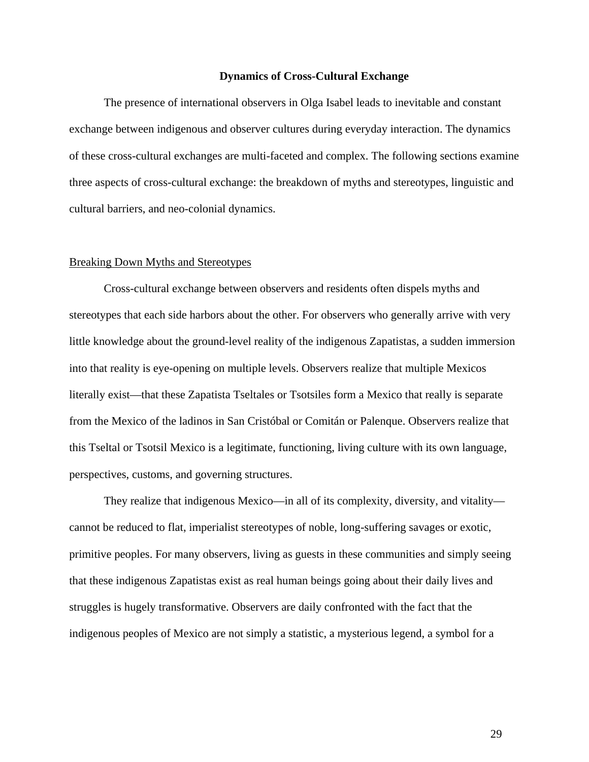#### **Dynamics of Cross-Cultural Exchange**

 The presence of international observers in Olga Isabel leads to inevitable and constant exchange between indigenous and observer cultures during everyday interaction. The dynamics of these cross-cultural exchanges are multi-faceted and complex. The following sections examine three aspects of cross-cultural exchange: the breakdown of myths and stereotypes, linguistic and cultural barriers, and neo-colonial dynamics.

#### Breaking Down Myths and Stereotypes

 Cross-cultural exchange between observers and residents often dispels myths and stereotypes that each side harbors about the other. For observers who generally arrive with very little knowledge about the ground-level reality of the indigenous Zapatistas, a sudden immersion into that reality is eye-opening on multiple levels. Observers realize that multiple Mexicos literally exist—that these Zapatista Tseltales or Tsotsiles form a Mexico that really is separate from the Mexico of the ladinos in San Cristóbal or Comitán or Palenque. Observers realize that this Tseltal or Tsotsil Mexico is a legitimate, functioning, living culture with its own language, perspectives, customs, and governing structures.

 They realize that indigenous Mexico—in all of its complexity, diversity, and vitality cannot be reduced to flat, imperialist stereotypes of noble, long-suffering savages or exotic, primitive peoples. For many observers, living as guests in these communities and simply seeing that these indigenous Zapatistas exist as real human beings going about their daily lives and struggles is hugely transformative. Observers are daily confronted with the fact that the indigenous peoples of Mexico are not simply a statistic, a mysterious legend, a symbol for a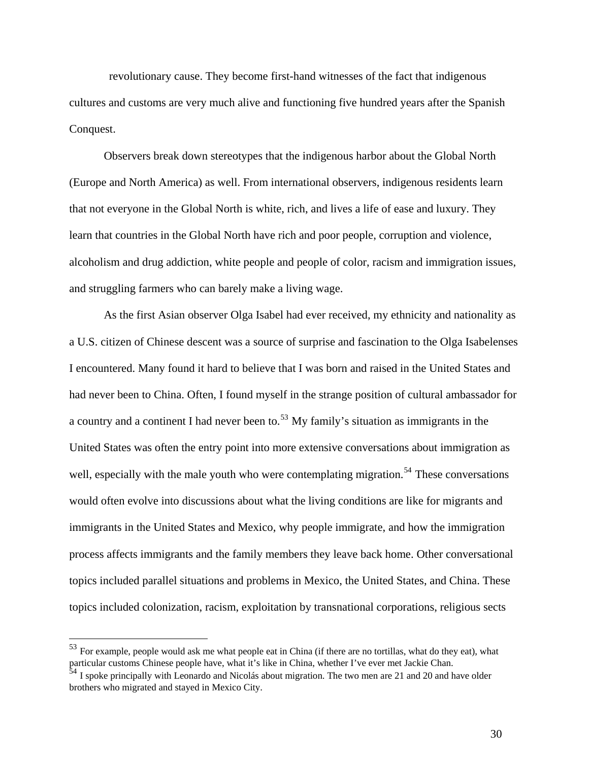revolutionary cause. They become first-hand witnesses of the fact that indigenous cultures and customs are very much alive and functioning five hundred years after the Spanish Conquest.

 Observers break down stereotypes that the indigenous harbor about the Global North (Europe and North America) as well. From international observers, indigenous residents learn that not everyone in the Global North is white, rich, and lives a life of ease and luxury. They learn that countries in the Global North have rich and poor people, corruption and violence, alcoholism and drug addiction, white people and people of color, racism and immigration issues, and struggling farmers who can barely make a living wage.

 As the first Asian observer Olga Isabel had ever received, my ethnicity and nationality as a U.S. citizen of Chinese descent was a source of surprise and fascination to the Olga Isabelenses I encountered. Many found it hard to believe that I was born and raised in the United States and had never been to China. Often, I found myself in the strange position of cultural ambassador for a country and a continent I had never been to.<sup>[53](#page-31-0)</sup> My family's situation as immigrants in the United States was often the entry point into more extensive conversations about immigration as well, especially with the male youth who were contemplating migration.<sup>[54](#page-31-1)</sup> These conversations would often evolve into discussions about what the living conditions are like for migrants and immigrants in the United States and Mexico, why people immigrate, and how the immigration process affects immigrants and the family members they leave back home. Other conversational topics included parallel situations and problems in Mexico, the United States, and China. These topics included colonization, racism, exploitation by transnational corporations, religious sects

<span id="page-31-0"></span><sup>53</sup> For example, people would ask me what people eat in China (if there are no tortillas, what do they eat), what particular customs Chinese people have, what it's like in China, whether I've ever met Jackie Chan.

<span id="page-31-1"></span> $54$  I spoke principally with Leonardo and Nicolás about migration. The two men are 21 and 20 and have older brothers who migrated and stayed in Mexico City.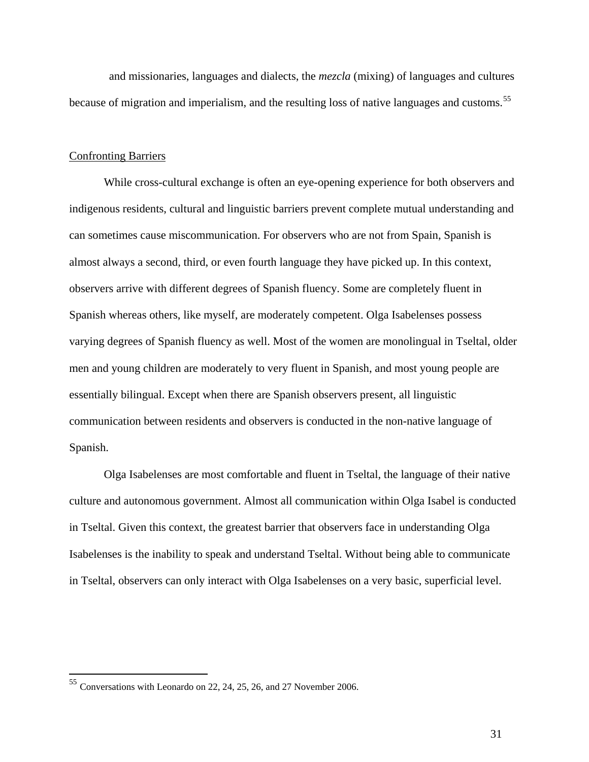and missionaries, languages and dialects, the *mezcla* (mixing) of languages and cultures because of migration and imperialism, and the resulting loss of native languages and customs.<sup>[55](#page-32-0)</sup>

## Confronting Barriers

 While cross-cultural exchange is often an eye-opening experience for both observers and indigenous residents, cultural and linguistic barriers prevent complete mutual understanding and can sometimes cause miscommunication. For observers who are not from Spain, Spanish is almost always a second, third, or even fourth language they have picked up. In this context, observers arrive with different degrees of Spanish fluency. Some are completely fluent in Spanish whereas others, like myself, are moderately competent. Olga Isabelenses possess varying degrees of Spanish fluency as well. Most of the women are monolingual in Tseltal, older men and young children are moderately to very fluent in Spanish, and most young people are essentially bilingual. Except when there are Spanish observers present, all linguistic communication between residents and observers is conducted in the non-native language of Spanish.

 Olga Isabelenses are most comfortable and fluent in Tseltal, the language of their native culture and autonomous government. Almost all communication within Olga Isabel is conducted in Tseltal. Given this context, the greatest barrier that observers face in understanding Olga Isabelenses is the inability to speak and understand Tseltal. Without being able to communicate in Tseltal, observers can only interact with Olga Isabelenses on a very basic, superficial level.

 $\overline{a}$ 

<span id="page-32-0"></span> $55$  Conversations with Leonardo on 22, 24, 25, 26, and 27 November 2006.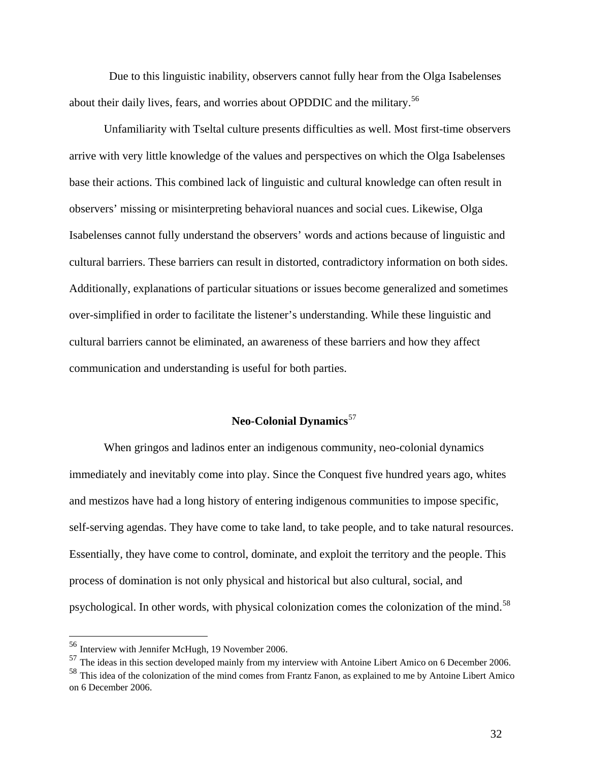Due to this linguistic inability, observers cannot fully hear from the Olga Isabelenses about their daily lives, fears, and worries about OPDDIC and the military.<sup>[56](#page-33-0)</sup>

 Unfamiliarity with Tseltal culture presents difficulties as well. Most first-time observers arrive with very little knowledge of the values and perspectives on which the Olga Isabelenses base their actions. This combined lack of linguistic and cultural knowledge can often result in observers' missing or misinterpreting behavioral nuances and social cues. Likewise, Olga Isabelenses cannot fully understand the observers' words and actions because of linguistic and cultural barriers. These barriers can result in distorted, contradictory information on both sides. Additionally, explanations of particular situations or issues become generalized and sometimes over-simplified in order to facilitate the listener's understanding. While these linguistic and cultural barriers cannot be eliminated, an awareness of these barriers and how they affect communication and understanding is useful for both parties.

# **Neo-Colonial Dynamics**[57](#page-33-1)

 When gringos and ladinos enter an indigenous community, neo-colonial dynamics immediately and inevitably come into play. Since the Conquest five hundred years ago, whites and mestizos have had a long history of entering indigenous communities to impose specific, self-serving agendas. They have come to take land, to take people, and to take natural resources. Essentially, they have come to control, dominate, and exploit the territory and the people. This process of domination is not only physical and historical but also cultural, social, and psychological. In other words, with physical colonization comes the colonization of the mind.<sup>[58](#page-33-2)</sup>

<sup>&</sup>lt;sup>56</sup> Interview with Jennifer McHugh, 19 November 2006.

<span id="page-33-1"></span><span id="page-33-0"></span><sup>&</sup>lt;sup>57</sup> The ideas in this section developed mainly from my interview with Antoine Libert Amico on 6 December 2006.

<span id="page-33-2"></span><sup>&</sup>lt;sup>58</sup> This idea of the colonization of the mind comes from Frantz Fanon, as explained to me by Antoine Libert Amico on 6 December 2006.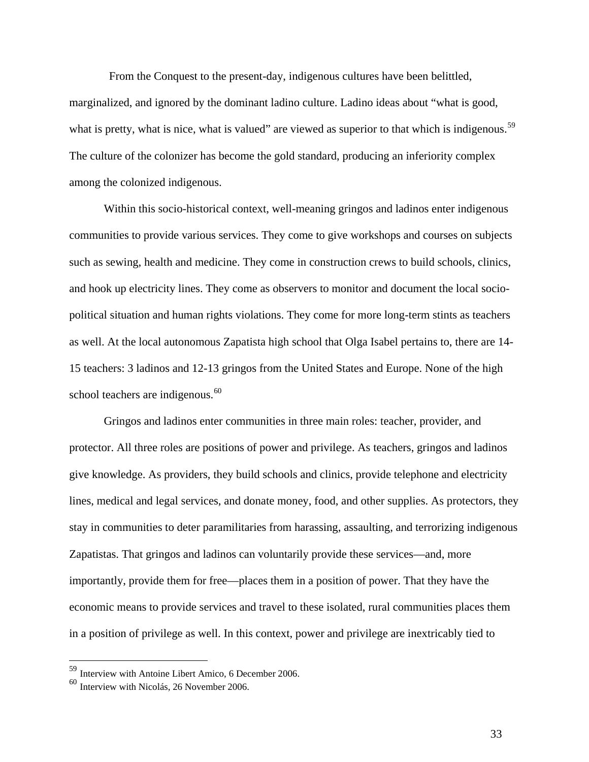From the Conquest to the present-day, indigenous cultures have been belittled, marginalized, and ignored by the dominant ladino culture. Ladino ideas about "what is good, what is pretty, what is nice, what is valued" are viewed as superior to that which is indigenous.<sup>[59](#page-34-0)</sup> The culture of the colonizer has become the gold standard, producing an inferiority complex among the colonized indigenous.

 Within this socio-historical context, well-meaning gringos and ladinos enter indigenous communities to provide various services. They come to give workshops and courses on subjects such as sewing, health and medicine. They come in construction crews to build schools, clinics, and hook up electricity lines. They come as observers to monitor and document the local sociopolitical situation and human rights violations. They come for more long-term stints as teachers as well. At the local autonomous Zapatista high school that Olga Isabel pertains to, there are 14- 15 teachers: 3 ladinos and 12-13 gringos from the United States and Europe. None of the high school teachers are indigenous.<sup>[60](#page-34-1)</sup>

 Gringos and ladinos enter communities in three main roles: teacher, provider, and protector. All three roles are positions of power and privilege. As teachers, gringos and ladinos give knowledge. As providers, they build schools and clinics, provide telephone and electricity lines, medical and legal services, and donate money, food, and other supplies. As protectors, they stay in communities to deter paramilitaries from harassing, assaulting, and terrorizing indigenous Zapatistas. That gringos and ladinos can voluntarily provide these services—and, more importantly, provide them for free—places them in a position of power. That they have the economic means to provide services and travel to these isolated, rural communities places them in a position of privilege as well. In this context, power and privilege are inextricably tied to

 $\overline{a}$ 

<span id="page-34-0"></span><sup>59</sup> Interview with Antoine Libert Amico, 6 December 2006.

<span id="page-34-1"></span><sup>60</sup> Interview with Nicolás, 26 November 2006.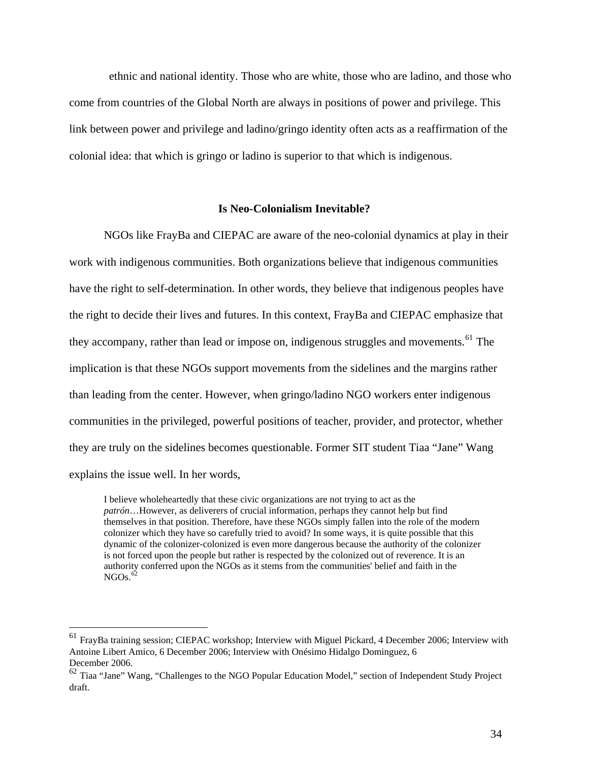ethnic and national identity. Those who are white, those who are ladino, and those who come from countries of the Global North are always in positions of power and privilege. This link between power and privilege and ladino/gringo identity often acts as a reaffirmation of the colonial idea: that which is gringo or ladino is superior to that which is indigenous.

#### **Is Neo-Colonialism Inevitable?**

 NGOs like FrayBa and CIEPAC are aware of the neo-colonial dynamics at play in their work with indigenous communities. Both organizations believe that indigenous communities have the right to self-determination. In other words, they believe that indigenous peoples have the right to decide their lives and futures. In this context, FrayBa and CIEPAC emphasize that they accompany, rather than lead or impose on, indigenous struggles and movements.<sup>[61](#page-35-0)</sup> The implication is that these NGOs support movements from the sidelines and the margins rather than leading from the center. However, when gringo/ladino NGO workers enter indigenous communities in the privileged, powerful positions of teacher, provider, and protector, whether they are truly on the sidelines becomes questionable. Former SIT student Tiaa "Jane" Wang explains the issue well. In her words,

I believe wholeheartedly that these civic organizations are not trying to act as the *patrón*…However, as deliverers of crucial information, perhaps they cannot help but find themselves in that position. Therefore, have these NGOs simply fallen into the role of the modern colonizer which they have so carefully tried to avoid? In some ways, it is quite possible that this dynamic of the colonizer-colonized is even more dangerous because the authority of the colonizer is not forced upon the people but rather is respected by the colonized out of reverence. It is an authority conferred upon the NGOs as it stems from the communities' belief and faith in the  $NGOs.$ <sup>[62](#page-35-1)</sup>

<span id="page-35-0"></span><sup>61</sup> FrayBa training session; CIEPAC workshop; Interview with Miguel Pickard, 4 December 2006; Interview with Antoine Libert Amico, 6 December 2006; Interview with Onésimo Hidalgo Dominguez, 6 December 2006.

<span id="page-35-1"></span><sup>&</sup>lt;sup>62</sup> Tiaa "Jane" Wang, "Challenges to the NGO Popular Education Model," section of Independent Study Project draft.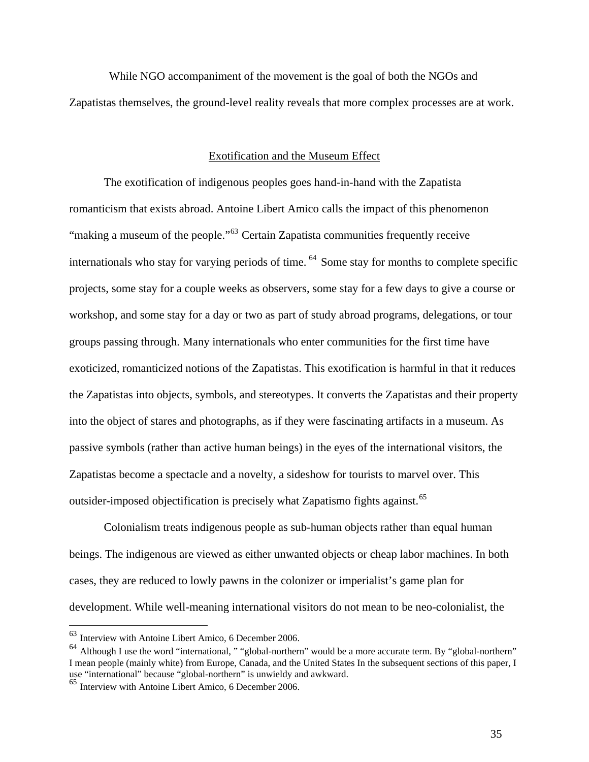While NGO accompaniment of the movement is the goal of both the NGOs and Zapatistas themselves, the ground-level reality reveals that more complex processes are at work.

## Exotification and the Museum Effect

 The exotification of indigenous peoples goes hand-in-hand with the Zapatista romanticism that exists abroad. Antoine Libert Amico calls the impact of this phenomenon "making a museum of the people."<sup>[63](#page-36-0)</sup> Certain Zapatista communities frequently receive internationals who stay for varying periods of time. [64](#page-36-1) Some stay for months to complete specific projects, some stay for a couple weeks as observers, some stay for a few days to give a course or workshop, and some stay for a day or two as part of study abroad programs, delegations, or tour groups passing through. Many internationals who enter communities for the first time have exoticized, romanticized notions of the Zapatistas. This exotification is harmful in that it reduces the Zapatistas into objects, symbols, and stereotypes. It converts the Zapatistas and their property into the object of stares and photographs, as if they were fascinating artifacts in a museum. As passive symbols (rather than active human beings) in the eyes of the international visitors, the Zapatistas become a spectacle and a novelty, a sideshow for tourists to marvel over. This outsider-imposed objectification is precisely what Zapatismo fights against.<sup>[65](#page-36-2)</sup>

 Colonialism treats indigenous people as sub-human objects rather than equal human beings. The indigenous are viewed as either unwanted objects or cheap labor machines. In both cases, they are reduced to lowly pawns in the colonizer or imperialist's game plan for development. While well-meaning international visitors do not mean to be neo-colonialist, the

<span id="page-36-0"></span> $63$  Interview with Antoine Libert Amico, 6 December 2006.

<span id="page-36-1"></span><sup>64</sup> Although I use the word "international, " "global-northern" would be a more accurate term. By "global-northern" I mean people (mainly white) from Europe, Canada, and the United States In the subsequent sections of this paper, I use "international" because "global-northern" is unwieldy and awkward.

<span id="page-36-2"></span><sup>65</sup> Interview with Antoine Libert Amico, 6 December 2006.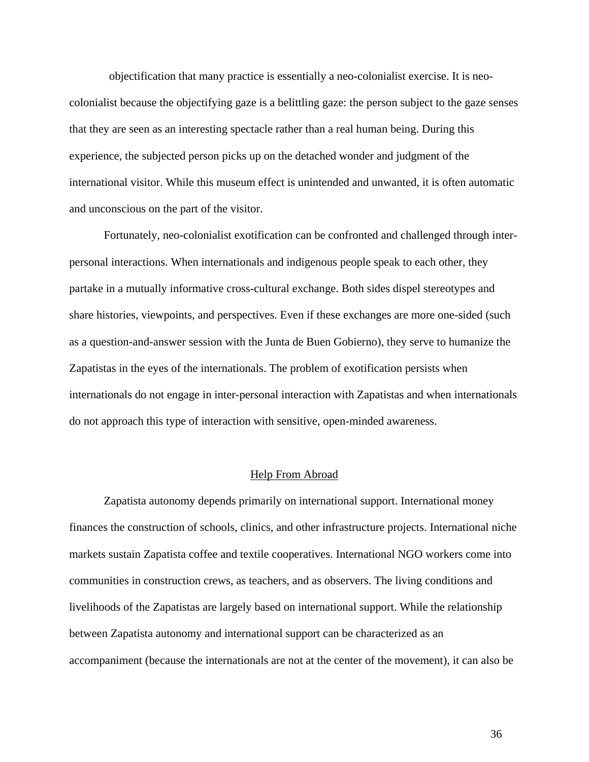objectification that many practice is essentially a neo-colonialist exercise. It is neocolonialist because the objectifying gaze is a belittling gaze: the person subject to the gaze senses that they are seen as an interesting spectacle rather than a real human being. During this experience, the subjected person picks up on the detached wonder and judgment of the international visitor. While this museum effect is unintended and unwanted, it is often automatic and unconscious on the part of the visitor.

 Fortunately, neo-colonialist exotification can be confronted and challenged through interpersonal interactions. When internationals and indigenous people speak to each other, they partake in a mutually informative cross-cultural exchange. Both sides dispel stereotypes and share histories, viewpoints, and perspectives. Even if these exchanges are more one-sided (such as a question-and-answer session with the Junta de Buen Gobierno), they serve to humanize the Zapatistas in the eyes of the internationals. The problem of exotification persists when internationals do not engage in inter-personal interaction with Zapatistas and when internationals do not approach this type of interaction with sensitive, open-minded awareness.

#### Help From Abroad

 Zapatista autonomy depends primarily on international support. International money finances the construction of schools, clinics, and other infrastructure projects. International niche markets sustain Zapatista coffee and textile cooperatives. International NGO workers come into communities in construction crews, as teachers, and as observers. The living conditions and livelihoods of the Zapatistas are largely based on international support. While the relationship between Zapatista autonomy and international support can be characterized as an accompaniment (because the internationals are not at the center of the movement), it can also be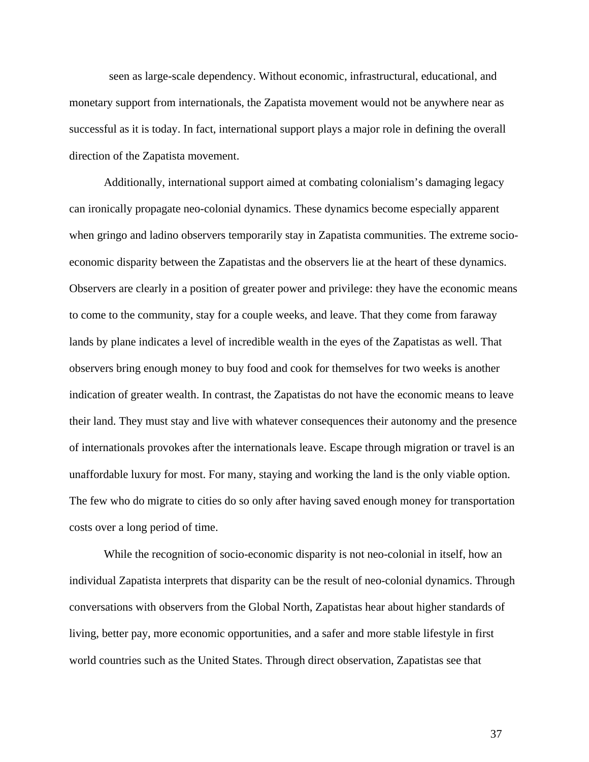seen as large-scale dependency. Without economic, infrastructural, educational, and monetary support from internationals, the Zapatista movement would not be anywhere near as successful as it is today. In fact, international support plays a major role in defining the overall direction of the Zapatista movement.

 Additionally, international support aimed at combating colonialism's damaging legacy can ironically propagate neo-colonial dynamics. These dynamics become especially apparent when gringo and ladino observers temporarily stay in Zapatista communities. The extreme socioeconomic disparity between the Zapatistas and the observers lie at the heart of these dynamics. Observers are clearly in a position of greater power and privilege: they have the economic means to come to the community, stay for a couple weeks, and leave. That they come from faraway lands by plane indicates a level of incredible wealth in the eyes of the Zapatistas as well. That observers bring enough money to buy food and cook for themselves for two weeks is another indication of greater wealth. In contrast, the Zapatistas do not have the economic means to leave their land. They must stay and live with whatever consequences their autonomy and the presence of internationals provokes after the internationals leave. Escape through migration or travel is an unaffordable luxury for most. For many, staying and working the land is the only viable option. The few who do migrate to cities do so only after having saved enough money for transportation costs over a long period of time.

 While the recognition of socio-economic disparity is not neo-colonial in itself, how an individual Zapatista interprets that disparity can be the result of neo-colonial dynamics. Through conversations with observers from the Global North, Zapatistas hear about higher standards of living, better pay, more economic opportunities, and a safer and more stable lifestyle in first world countries such as the United States. Through direct observation, Zapatistas see that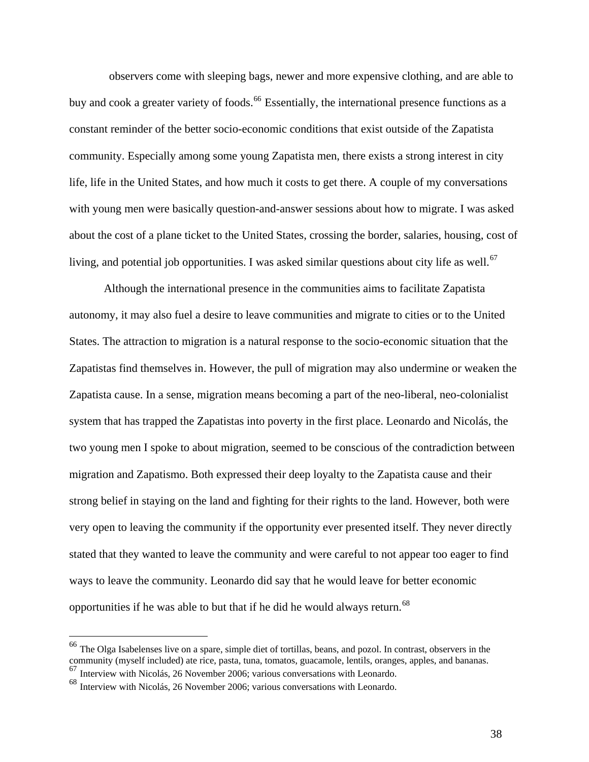observers come with sleeping bags, newer and more expensive clothing, and are able to buy and cook a greater variety of foods.<sup>[66](#page-39-0)</sup> Essentially, the international presence functions as a constant reminder of the better socio-economic conditions that exist outside of the Zapatista community. Especially among some young Zapatista men, there exists a strong interest in city life, life in the United States, and how much it costs to get there. A couple of my conversations with young men were basically question-and-answer sessions about how to migrate. I was asked about the cost of a plane ticket to the United States, crossing the border, salaries, housing, cost of living, and potential job opportunities. I was asked similar questions about city life as well.<sup>[67](#page-39-1)</sup>

 Although the international presence in the communities aims to facilitate Zapatista autonomy, it may also fuel a desire to leave communities and migrate to cities or to the United States. The attraction to migration is a natural response to the socio-economic situation that the Zapatistas find themselves in. However, the pull of migration may also undermine or weaken the Zapatista cause. In a sense, migration means becoming a part of the neo-liberal, neo-colonialist system that has trapped the Zapatistas into poverty in the first place. Leonardo and Nicolás, the two young men I spoke to about migration, seemed to be conscious of the contradiction between migration and Zapatismo. Both expressed their deep loyalty to the Zapatista cause and their strong belief in staying on the land and fighting for their rights to the land. However, both were very open to leaving the community if the opportunity ever presented itself. They never directly stated that they wanted to leave the community and were careful to not appear too eager to find ways to leave the community. Leonardo did say that he would leave for better economic opportunities if he was able to but that if he did he would always return.<sup>[68](#page-39-2)</sup>

<span id="page-39-0"></span><sup>&</sup>lt;sup>66</sup> The Olga Isabelenses live on a spare, simple diet of tortillas, beans, and pozol. In contrast, observers in the community (myself included) ate rice, pasta, tuna, tomatos, guacamole, lentils, oranges, apples, and bananas.  $^{67}$  Interview with Nicolás, 26 November 2006; various conversations with Leonardo.

<span id="page-39-2"></span><span id="page-39-1"></span><sup>68</sup> Interview with Nicolás, 26 November 2006; various conversations with Leonardo.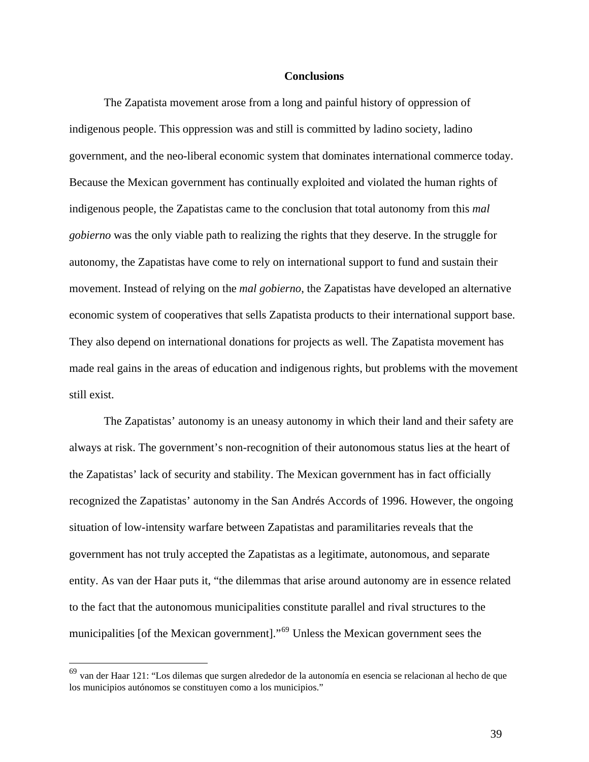#### **Conclusions**

The Zapatista movement arose from a long and painful history of oppression of indigenous people. This oppression was and still is committed by ladino society, ladino government, and the neo-liberal economic system that dominates international commerce today. Because the Mexican government has continually exploited and violated the human rights of indigenous people, the Zapatistas came to the conclusion that total autonomy from this *mal gobierno* was the only viable path to realizing the rights that they deserve. In the struggle for autonomy, the Zapatistas have come to rely on international support to fund and sustain their movement. Instead of relying on the *mal gobierno*, the Zapatistas have developed an alternative economic system of cooperatives that sells Zapatista products to their international support base. They also depend on international donations for projects as well. The Zapatista movement has made real gains in the areas of education and indigenous rights, but problems with the movement still exist.

 The Zapatistas' autonomy is an uneasy autonomy in which their land and their safety are always at risk. The government's non-recognition of their autonomous status lies at the heart of the Zapatistas' lack of security and stability. The Mexican government has in fact officially recognized the Zapatistas' autonomy in the San Andrés Accords of 1996. However, the ongoing situation of low-intensity warfare between Zapatistas and paramilitaries reveals that the government has not truly accepted the Zapatistas as a legitimate, autonomous, and separate entity. As van der Haar puts it, "the dilemmas that arise around autonomy are in essence related to the fact that the autonomous municipalities constitute parallel and rival structures to the municipalities [of the Mexican government]."[69](#page-40-0) Unless the Mexican government sees the

<span id="page-40-0"></span><sup>69</sup> van der Haar 121: "Los dilemas que surgen alrededor de la autonomía en esencia se relacionan al hecho de que los municipios autónomos se constituyen como a los municipios."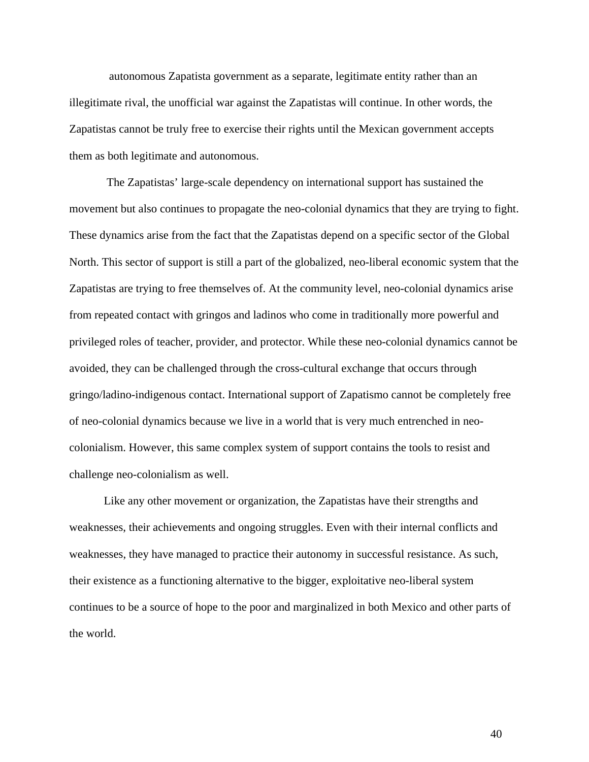autonomous Zapatista government as a separate, legitimate entity rather than an illegitimate rival, the unofficial war against the Zapatistas will continue. In other words, the Zapatistas cannot be truly free to exercise their rights until the Mexican government accepts them as both legitimate and autonomous.

 The Zapatistas' large-scale dependency on international support has sustained the movement but also continues to propagate the neo-colonial dynamics that they are trying to fight. These dynamics arise from the fact that the Zapatistas depend on a specific sector of the Global North. This sector of support is still a part of the globalized, neo-liberal economic system that the Zapatistas are trying to free themselves of. At the community level, neo-colonial dynamics arise from repeated contact with gringos and ladinos who come in traditionally more powerful and privileged roles of teacher, provider, and protector. While these neo-colonial dynamics cannot be avoided, they can be challenged through the cross-cultural exchange that occurs through gringo/ladino-indigenous contact. International support of Zapatismo cannot be completely free of neo-colonial dynamics because we live in a world that is very much entrenched in neocolonialism. However, this same complex system of support contains the tools to resist and challenge neo-colonialism as well.

 Like any other movement or organization, the Zapatistas have their strengths and weaknesses, their achievements and ongoing struggles. Even with their internal conflicts and weaknesses, they have managed to practice their autonomy in successful resistance. As such, their existence as a functioning alternative to the bigger, exploitative neo-liberal system continues to be a source of hope to the poor and marginalized in both Mexico and other parts of the world.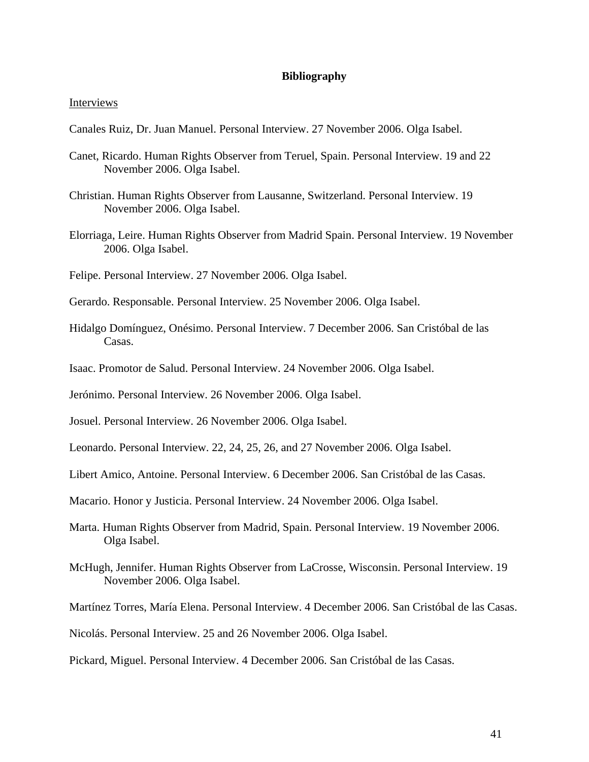## **Bibliography**

#### Interviews

- Canales Ruiz, Dr. Juan Manuel. Personal Interview. 27 November 2006. Olga Isabel.
- Canet, Ricardo. Human Rights Observer from Teruel, Spain. Personal Interview. 19 and 22 November 2006. Olga Isabel.
- Christian. Human Rights Observer from Lausanne, Switzerland. Personal Interview. 19 November 2006. Olga Isabel.
- Elorriaga, Leire. Human Rights Observer from Madrid Spain. Personal Interview. 19 November 2006. Olga Isabel.
- Felipe. Personal Interview. 27 November 2006. Olga Isabel.
- Gerardo. Responsable. Personal Interview. 25 November 2006. Olga Isabel.
- Hidalgo Domínguez, Onésimo. Personal Interview. 7 December 2006. San Cristóbal de las Casas.
- Isaac. Promotor de Salud. Personal Interview. 24 November 2006. Olga Isabel.

Jerónimo. Personal Interview. 26 November 2006. Olga Isabel.

- Josuel. Personal Interview. 26 November 2006. Olga Isabel.
- Leonardo. Personal Interview. 22, 24, 25, 26, and 27 November 2006. Olga Isabel.
- Libert Amico, Antoine. Personal Interview. 6 December 2006. San Cristóbal de las Casas.
- Macario. Honor y Justicia. Personal Interview. 24 November 2006. Olga Isabel.
- Marta. Human Rights Observer from Madrid, Spain. Personal Interview. 19 November 2006. Olga Isabel.
- McHugh, Jennifer. Human Rights Observer from LaCrosse, Wisconsin. Personal Interview. 19 November 2006. Olga Isabel.
- Martínez Torres, María Elena. Personal Interview. 4 December 2006. San Cristóbal de las Casas.

Nicolás. Personal Interview. 25 and 26 November 2006. Olga Isabel.

Pickard, Miguel. Personal Interview. 4 December 2006. San Cristóbal de las Casas.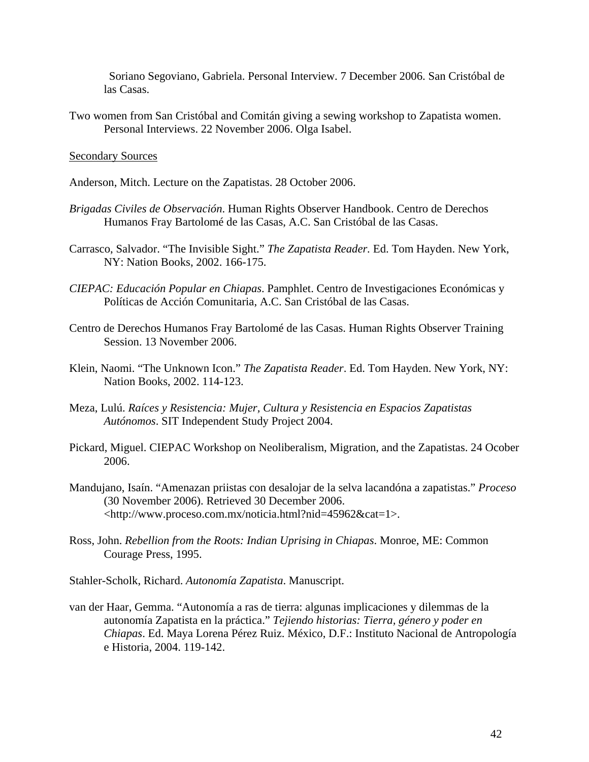Soriano Segoviano, Gabriela. Personal Interview. 7 December 2006. San Cristóbal de las Casas.

Two women from San Cristóbal and Comitán giving a sewing workshop to Zapatista women. Personal Interviews. 22 November 2006. Olga Isabel.

## Secondary Sources

- Anderson, Mitch. Lecture on the Zapatistas. 28 October 2006.
- *Brigadas Civiles de Observación*. Human Rights Observer Handbook. Centro de Derechos Humanos Fray Bartolomé de las Casas, A.C. San Cristóbal de las Casas.
- Carrasco, Salvador. "The Invisible Sight." *The Zapatista Reader.* Ed. Tom Hayden. New York, NY: Nation Books, 2002. 166-175.
- *CIEPAC: Educación Popular en Chiapas*. Pamphlet. Centro de Investigaciones Económicas y Políticas de Acción Comunitaria, A.C. San Cristóbal de las Casas.
- Centro de Derechos Humanos Fray Bartolomé de las Casas. Human Rights Observer Training Session. 13 November 2006.
- Klein, Naomi. "The Unknown Icon." *The Zapatista Reader*. Ed. Tom Hayden. New York, NY: Nation Books, 2002. 114-123.
- Meza, Lulú. *Raíces y Resistencia: Mujer, Cultura y Resistencia en Espacios Zapatistas Autónomos*. SIT Independent Study Project 2004.
- Pickard, Miguel. CIEPAC Workshop on Neoliberalism, Migration, and the Zapatistas. 24 Ocober 2006.
- Mandujano, Isaín. "Amenazan priistas con desalojar de la selva lacandóna a zapatistas." *Proceso* (30 November 2006). Retrieved 30 December 2006. <<http://www.proceso.com.mx/noticia.html?nid=45962&cat=1>>.
- Ross, John. *Rebellion from the Roots: Indian Uprising in Chiapas*. Monroe, ME: Common Courage Press, 1995.

Stahler-Scholk, Richard. *Autonomía Zapatista*. Manuscript.

van der Haar, Gemma. "Autonomía a ras de tierra: algunas implicaciones y dilemmas de la autonomía Zapatista en la práctica." *Tejiendo historias: Tierra, género y poder en Chiapas*. Ed. Maya Lorena Pérez Ruiz. México, D.F.: Instituto Nacional de Antropología e Historia, 2004. 119-142.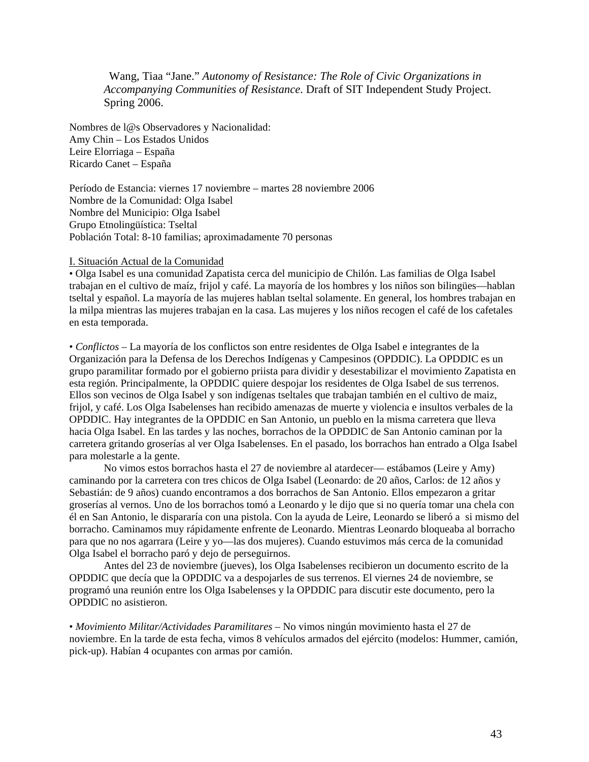Wang, Tiaa "Jane." *Autonomy of Resistance: The Role of Civic Organizations in Accompanying Communities of Resistance*. Draft of SIT Independent Study Project. Spring 2006.

Nombres de l@s Observadores y Nacionalidad: Amy Chin – Los Estados Unidos Leire Elorriaga – España Ricardo Canet – España

Período de Estancia: viernes 17 noviembre – martes 28 noviembre 2006 Nombre de la Comunidad: Olga Isabel Nombre del Municipio: Olga Isabel Grupo Etnolingüística: Tseltal Población Total: 8-10 familias; aproximadamente 70 personas

#### I. Situación Actual de la Comunidad

• Olga Isabel es una comunidad Zapatista cerca del municipio de Chilón. Las familias de Olga Isabel trabajan en el cultivo de maíz, frijol y café. La mayoría de los hombres y los niños son bilingües—hablan tseltal y español. La mayoría de las mujeres hablan tseltal solamente. En general, los hombres trabajan en la milpa mientras las mujeres trabajan en la casa. Las mujeres y los niños recogen el café de los cafetales en esta temporada.

• *Conflictos* – La mayoría de los conflictos son entre residentes de Olga Isabel e integrantes de la Organización para la Defensa de los Derechos Indígenas y Campesinos (OPDDIC). La OPDDIC es un grupo paramilitar formado por el gobierno priista para dividir y desestabilizar el movimiento Zapatista en esta región. Principalmente, la OPDDIC quiere despojar los residentes de Olga Isabel de sus terrenos. Ellos son vecinos de Olga Isabel y son indígenas tseltales que trabajan también en el cultivo de maiz, frijol, y café. Los Olga Isabelenses han recibido amenazas de muerte y violencia e insultos verbales de la OPDDIC. Hay integrantes de la OPDDIC en San Antonio, un pueblo en la misma carretera que lleva hacia Olga Isabel. En las tardes y las noches, borrachos de la OPDDIC de San Antonio caminan por la carretera gritando groserías al ver Olga Isabelenses. En el pasado, los borrachos han entrado a Olga Isabel para molestarle a la gente.

 No vimos estos borrachos hasta el 27 de noviembre al atardecer— estábamos (Leire y Amy) caminando por la carretera con tres chicos de Olga Isabel (Leonardo: de 20 años, Carlos: de 12 años y Sebastián: de 9 años) cuando encontramos a dos borrachos de San Antonio. Ellos empezaron a gritar groserías al vernos. Uno de los borrachos tomó a Leonardo y le dijo que si no quería tomar una chela con él en San Antonio, le dispararía con una pistola. Con la ayuda de Leire, Leonardo se liberó a si mismo del borracho. Caminamos muy rápidamente enfrente de Leonardo. Mientras Leonardo bloqueaba al borracho para que no nos agarrara (Leire y yo—las dos mujeres). Cuando estuvimos más cerca de la comunidad Olga Isabel el borracho paró y dejo de perseguirnos.

 Antes del 23 de noviembre (jueves), los Olga Isabelenses recibieron un documento escrito de la OPDDIC que decía que la OPDDIC va a despojarles de sus terrenos. El viernes 24 de noviembre, se programó una reunión entre los Olga Isabelenses y la OPDDIC para discutir este documento, pero la OPDDIC no asistieron.

• *Movimiento Militar/Actividades Paramilitares* – No vimos ningún movimiento hasta el 27 de noviembre. En la tarde de esta fecha, vimos 8 vehículos armados del ejército (modelos: Hummer, camión, pick-up). Habían 4 ocupantes con armas por camión.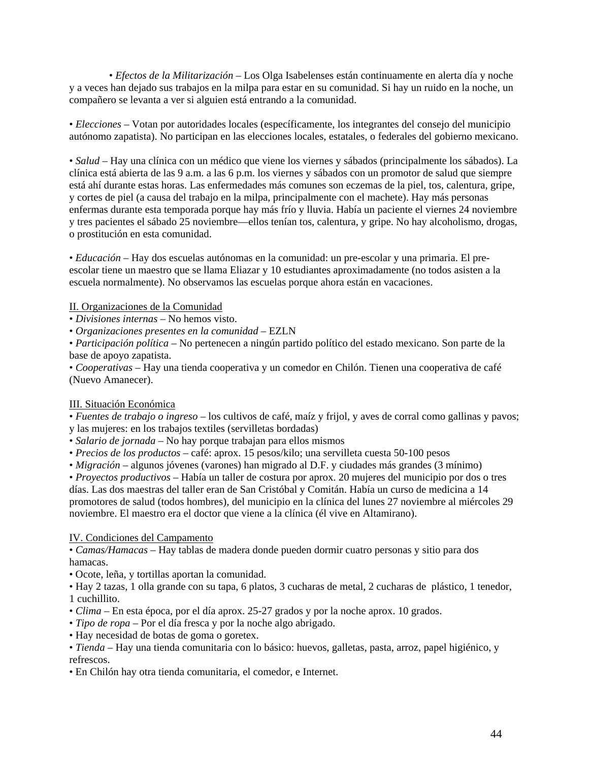• *Efectos de la Militarización* – Los Olga Isabelenses están continuamente en alerta día y noche y a veces han dejado sus trabajos en la milpa para estar en su comunidad. Si hay un ruido en la noche, un compañero se levanta a ver si alguien está entrando a la comunidad.

• *Elecciones* – Votan por autoridades locales (específicamente, los integrantes del consejo del municipio autónomo zapatista). No participan en las elecciones locales, estatales, o federales del gobierno mexicano.

• *Salud* – Hay una clínica con un médico que viene los viernes y sábados (principalmente los sábados). La clínica está abierta de las 9 a.m. a las 6 p.m. los viernes y sábados con un promotor de salud que siempre está ahí durante estas horas. Las enfermedades más comunes son eczemas de la piel, tos, calentura, gripe, y cortes de piel (a causa del trabajo en la milpa, principalmente con el machete). Hay más personas enfermas durante esta temporada porque hay más frío y lluvia. Había un paciente el viernes 24 noviembre y tres pacientes el sábado 25 noviembre—ellos tenían tos, calentura, y gripe. No hay alcoholismo, drogas, o prostitución en esta comunidad.

• *Educación* – Hay dos escuelas autónomas en la comunidad: un pre-escolar y una primaria. El preescolar tiene un maestro que se llama Eliazar y 10 estudiantes aproximadamente (no todos asisten a la escuela normalmente). No observamos las escuelas porque ahora están en vacaciones.

# II. Organizaciones de la Comunidad

• *Divisiones internas* – No hemos visto.

• *Organizaciones presentes en la comunidad* – EZLN

• *Participación política* – No pertenecen a ningún partido político del estado mexicano. Son parte de la base de apoyo zapatista.

• *Cooperativas* – Hay una tienda cooperativa y un comedor en Chilón. Tienen una cooperativa de café (Nuevo Amanecer).

## III. Situación Económica

• *Fuentes de trabajo o ingreso* – los cultivos de café, maíz y frijol, y aves de corral como gallinas y pavos;

y las mujeres: en los trabajos textiles (servilletas bordadas)

- *Salario de jornada* No hay porque trabajan para ellos mismos
- *Precios de los productos* café: aprox. 15 pesos/kilo; una servilleta cuesta 50-100 pesos

• *Migración* – algunos jóvenes (varones) han migrado al D.F. y ciudades más grandes (3 mínimo)

• *Proyectos productivos* – Había un taller de costura por aprox. 20 mujeres del municipio por dos o tres días. Las dos maestras del taller eran de San Cristóbal y Comitán. Había un curso de medicina a 14 promotores de salud (todos hombres), del municipio en la clínica del lunes 27 noviembre al miércoles 29 noviembre. El maestro era el doctor que viene a la clínica (él vive en Altamirano).

# IV. Condiciones del Campamento

• *Camas/Hamacas* – Hay tablas de madera donde pueden dormir cuatro personas y sitio para dos hamacas.

• Ocote, leña, y tortillas aportan la comunidad.

• Hay 2 tazas, 1 olla grande con su tapa, 6 platos, 3 cucharas de metal, 2 cucharas de plástico, 1 tenedor, 1 cuchillito.

- *Clima* En esta época, por el día aprox. 25-27 grados y por la noche aprox. 10 grados.
- *Tipo de ropa* Por el día fresca y por la noche algo abrigado.
- Hay necesidad de botas de goma o goretex.

• *Tienda* – Hay una tienda comunitaria con lo básico: huevos, galletas, pasta, arroz, papel higiénico, y refrescos.

• En Chilón hay otra tienda comunitaria, el comedor, e Internet.